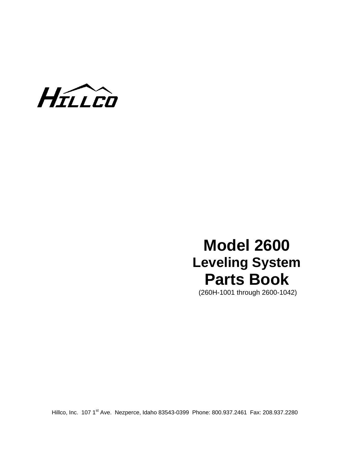

# **Model 2600 Leveling System Parts Book**

(260H-1001 through 2600-1042)

Hillco, Inc. 107 1<sup>st</sup> Ave. Nezperce, Idaho 83543-0399 Phone: 800.937.2461 Fax: 208.937.2280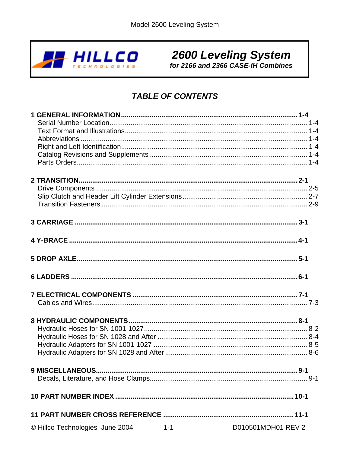

2600 Leveling System<br>for 2166 and 2366 CASE-IH Combines

# **TABLE OF CONTENTS**

| © Hillco Technologies June 2004<br>$1-1$ and $1-1$ | D010501MDH01 REV 2 |
|----------------------------------------------------|--------------------|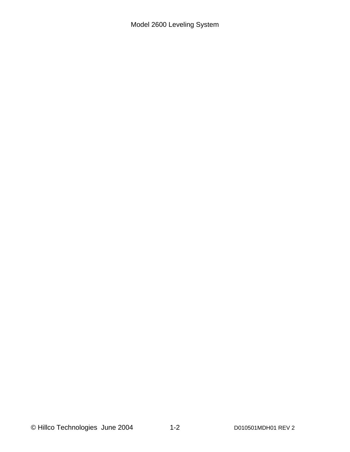Model 2600 Leveling System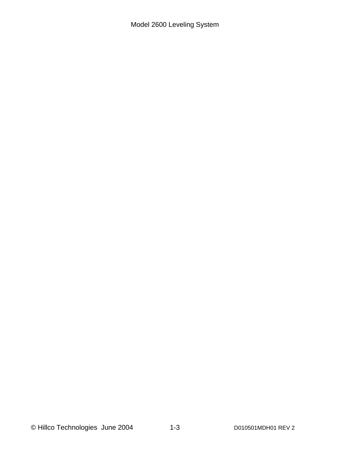Model 2600 Leveling System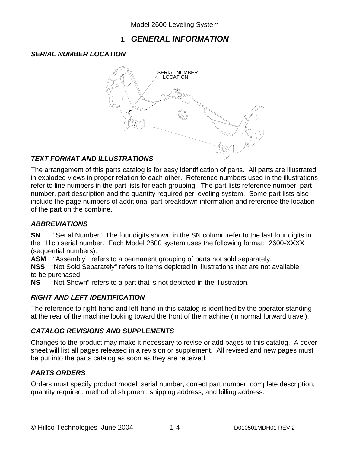### **1** *GENERAL INFORMATION*

#### *SERIAL NUMBER LOCATION*



#### *TEXT FORMAT AND ILLUSTRATIONS*

The arrangement of this parts catalog is for easy identification of parts. All parts are illustrated in exploded views in proper relation to each other. Reference numbers used in the illustrations refer to line numbers in the part lists for each grouping. The part lists reference number, part number, part description and the quantity required per leveling system. Some part lists also include the page numbers of additional part breakdown information and reference the location of the part on the combine.

#### *ABBREVIATIONS*

**SN** "Serial Number" The four digits shown in the SN column refer to the last four digits in the Hillco serial number. Each Model 2600 system uses the following format: 2600-XXXX (sequential numbers).

**ASM** "Assembly" refers to a permanent grouping of parts not sold separately.

**NSS** "Not Sold Separately" refers to items depicted in illustrations that are not available to be purchased.

**NS** "Not Shown" refers to a part that is not depicted in the illustration.

#### *RIGHT AND LEFT IDENTIFICATION*

The reference to right-hand and left-hand in this catalog is identified by the operator standing at the rear of the machine looking toward the front of the machine (in normal forward travel).

#### *CATALOG REVISIONS AND SUPPLEMENTS*

Changes to the product may make it necessary to revise or add pages to this catalog. A cover sheet will list all pages released in a revision or supplement. All revised and new pages must be put into the parts catalog as soon as they are received.

#### *PARTS ORDERS*

Orders must specify product model, serial number, correct part number, complete description, quantity required, method of shipment, shipping address, and billing address.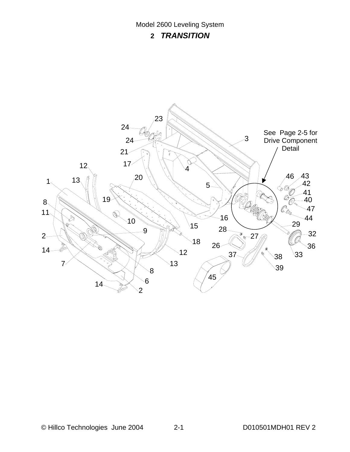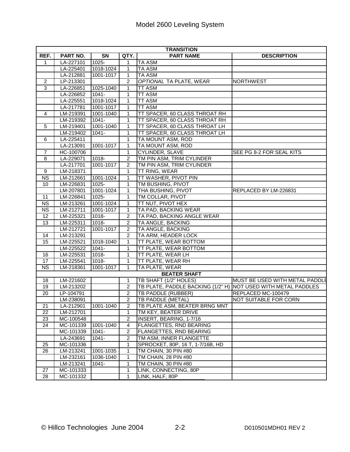|                        | <b>TRANSITION</b> |           |                |                                                               |                                |  |  |
|------------------------|-------------------|-----------|----------------|---------------------------------------------------------------|--------------------------------|--|--|
| REF.                   | PART NO.          | SN        | QTY.           | <b>PART NAME</b>                                              | <b>DESCRIPTION</b>             |  |  |
| 1                      | LA-227101         | $1025 -$  | 1              | <b>TA ASM</b>                                                 |                                |  |  |
|                        | LA-225401         | 1018-1024 | 1              | <b>TA ASM</b>                                                 |                                |  |  |
|                        | LA-212881         | 1001-1017 | $\mathbf{1}$   | <b>TA ASM</b>                                                 |                                |  |  |
| $\overline{c}$         | LP-213301         |           | $\overline{2}$ | OPTIONAL TA PLATE, WEAR                                       | <b>NORTHWEST</b>               |  |  |
| $\overline{3}$         | LA-226851         | 1025-1040 | 1              | <b>TT ASM</b>                                                 |                                |  |  |
|                        | LA-226852         | $1041 -$  | 1              | <b>TT ASM</b>                                                 |                                |  |  |
|                        | LA-225551         | 1018-1024 | 1              | <b>TT ASM</b>                                                 |                                |  |  |
|                        | LA-217781         | 1001-1017 | 1              | <b>TT ASM</b>                                                 |                                |  |  |
| 4                      | LM-219391         | 1001-1040 | 1              | TT SPACER, 60 CLASS THROAT RH                                 |                                |  |  |
|                        | LM-219392         | $1041 -$  | 1              | TT SPACER, 60 CLASS THROAT RH                                 |                                |  |  |
| 5                      | LM-219401         | 1001-1040 | $\mathbf{1}$   | TT SPACER, 60 CLASS THROAT LH                                 |                                |  |  |
|                        | LM-219402         | $1041 -$  | 1              | TT SPACER, 60 CLASS THROAT LH                                 |                                |  |  |
| 6                      | LA-225411         |           | 1              | TA MOUNT ASM, ROD                                             |                                |  |  |
|                        | LA-213091         | 1001-1017 | 1              | TA MOUNT ASM, ROD                                             |                                |  |  |
| $\overline{7}$         | HC-100706         |           | 1              | <b>CYLINDER, SLAVE</b>                                        | SEE PG 8-2 FOR SEAL KITS       |  |  |
| 8                      | LA-229071         | $1018 -$  | $\overline{2}$ | TM PIN ASM, TRIM CYLINDER                                     |                                |  |  |
|                        | LA-217701         | 1001-1017 | $\overline{2}$ | TM PIN ASM, TRIM CYLINDER                                     |                                |  |  |
| $\overline{9}$         | LM-218371         |           | $\mathbf{1}$   | TT RING, WEAR                                                 |                                |  |  |
| $\overline{\text{NS}}$ | LM-212661         | 1001-1024 | $\mathbf{1}$   | TT WASHER, PIVOT PIN                                          |                                |  |  |
| 10                     | LM-226831         | 1025-     | 1              | <b>TM BUSHING, PIVOT</b>                                      |                                |  |  |
|                        | LM-207801         | 1001-1024 | 1              | THA BUSHING, PIVOT                                            | REPLACED BY LM-226831          |  |  |
| 11                     | LM-226841         | 1025-     | 1              | TM COLLAR, PIVOT                                              |                                |  |  |
| $\overline{\text{NS}}$ | LM-213261         | 1001-1024 | 1              | <b>TT NUT, PIVOT HEX</b>                                      |                                |  |  |
| <b>NS</b>              | LM-212711         | 1001-1017 | 1              | TA PAD, BACKING WEAR                                          |                                |  |  |
| $\overline{12}$        | LM-225321         | $1018 -$  | $\overline{2}$ | TA PAD, BACKING ANGLE WEAR                                    |                                |  |  |
| 13                     | LM-225311         | 1018-     | $\overline{2}$ | TA ANGLE, BACKING                                             |                                |  |  |
|                        | LM-212721         | 1001-1017 | 2              | TA ANGLE, BACKING                                             |                                |  |  |
| 14                     | LM-213291         |           | $\overline{2}$ | TA ARM, HEADER LOCK                                           |                                |  |  |
| 15                     | LM-225521         | 1018-1040 | 1              | TT PLATE, WEAR BOTTOM                                         |                                |  |  |
|                        | LM-225522         | $1041 -$  | 1              | TT PLATE, WEAR BOTTOM                                         |                                |  |  |
| 16                     | LM-225531         | 1018-     | 1              | TT PLATE, WEAR LH                                             |                                |  |  |
| $\overline{17}$        | LM-225541         | 1018-     | 1              | TT PLATE, WEAR RH                                             |                                |  |  |
| $\overline{\text{NS}}$ | LM-218361         | 1001-1017 | 1              | TA PLATE, WEAR                                                |                                |  |  |
|                        |                   |           |                | <b>BEATER SHAFT</b>                                           |                                |  |  |
| 18                     | LM-221602         |           | 1              | TB SHAFT (1/2" HOLES)                                         | MUST BE USED WITH METAL PADDLE |  |  |
| 19                     | LM-213202         |           | $\overline{2}$ | TB PLATE, PADDLE BACKING (1/2" H) NOT USED WITH METAL PADDLES |                                |  |  |
| 20                     | LP-104791         |           | 2              | TB PADDLE (RUBBER)                                            | REPLACED MC-100479             |  |  |
|                        | LM-238091         |           | $\overline{2}$ | TB PADDLE (METAL)                                             | NOT SUITABLE FOR CORN          |  |  |
| 21                     | LA-212901         | 1001-1040 | 2              | TB PLATE ASM, BEATER BRNG MNT                                 |                                |  |  |
| 22                     | LM-212701         |           | 1              | TM KEY, BEATER DRIVE                                          |                                |  |  |
| 23                     | MC-100548         |           | $\overline{2}$ | INSERT, BEARING, 1-7/16                                       |                                |  |  |
| $\overline{24}$        | MC-101339         | 1001-1040 | 4              | <b>FLANGETTES, RND BEARING</b>                                |                                |  |  |
|                        | MC-101339         | $1041 -$  | $\overline{2}$ | FLANGETTES, RND BEARING                                       |                                |  |  |
|                        | LA-243691         | $1041 -$  | $\overline{2}$ | TM ASM, INNER FLANGETTE                                       |                                |  |  |
| 25                     | MC-101336         |           | 1              | SPROCKET, 80P, 16 T, 1-7/16B, HD                              |                                |  |  |
| $\overline{26}$        | LM-213241         | 1001-1035 | 1              | TM CHAIN, 30 PIN #80                                          |                                |  |  |
|                        | LM-232161         | 1036-1040 | 1              | TM CHAIN, 28 PIN #80                                          |                                |  |  |
|                        | LM-213241         | $1041 -$  | 1              | TM CHAIN, 30 PIN #80                                          |                                |  |  |
| 27                     | MC-101333         |           | 1              | LINK, CONNECTING, 80P                                         |                                |  |  |
| $\overline{28}$        | MC-101332         |           | 1              | LINK, HALF, 80P                                               |                                |  |  |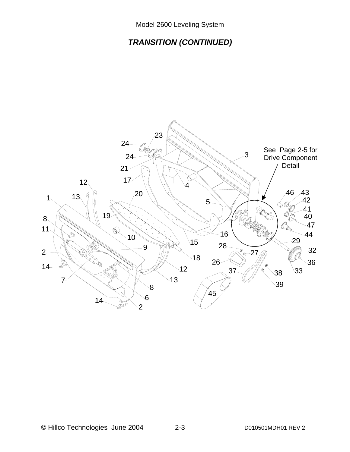# *TRANSITION (CONTINUED)*

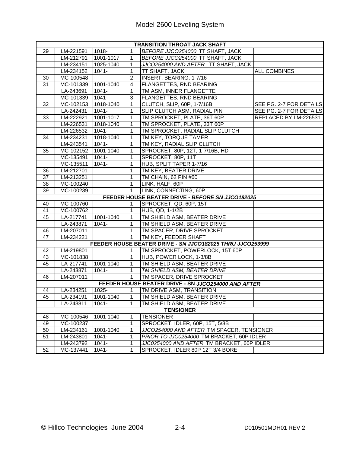| <b>TRANSITION THROAT JACK SHAFT</b> |                                                  |           |                |                                                           |                         |  |  |  |
|-------------------------------------|--------------------------------------------------|-----------|----------------|-----------------------------------------------------------|-------------------------|--|--|--|
| 29                                  | LM-221591                                        | 1018-     |                | BEFORE JJCO254000 TT SHAFT, JACK                          |                         |  |  |  |
|                                     | LM-212791                                        | 1001-1017 | $\mathbf 1$    | BEFORE JJCO254000 TT SHAFT, JACK                          |                         |  |  |  |
|                                     | LM-234151                                        | 1025-1040 | 1              | JJCO254000 AND AFTER TT SHAFT, JACK                       |                         |  |  |  |
|                                     | LM-234152                                        | $1041 -$  | 1              | TT SHAFT, JACK                                            | <b>ALL COMBINES</b>     |  |  |  |
| 30                                  | MC-100548                                        |           | $\overline{2}$ | INSERT, BEARING, 1-7/16                                   |                         |  |  |  |
| $\overline{31}$                     | MC-101339                                        | 1001-1040 | $\overline{4}$ | <b>FLANGETTES, RND BEARING</b>                            |                         |  |  |  |
|                                     | LA-243691                                        | $1041 -$  | 1              | TM ASM, INNER FLANGETTE                                   |                         |  |  |  |
|                                     | MC-101339                                        | $1041 -$  | 3              | <b>FLANGETTES, RND BEARING</b>                            |                         |  |  |  |
| 32                                  | MC-102153                                        | 1018-1040 | 1              | CLUTCH, SLIP, 60P, 1-7/16B                                | SEE PG. 2-7 FOR DETAILS |  |  |  |
|                                     | LA-242431                                        | 1041-     | $\overline{1}$ | SLIP CLUTCH ASM, RADIAL PIN                               | SEE PG. 2-7 FOR DETAILS |  |  |  |
| 33                                  | LM-222921                                        | 1001-1017 | $\mathbf 1$    | TM SPROCKET, PLATE, 36T 60P                               | REPLACED BY LM-226531   |  |  |  |
|                                     | LM-226531                                        | 1018-1040 | $\mathbf 1$    | TM SPROCKET, PLATE, 33T 60P                               |                         |  |  |  |
|                                     | LM-226532                                        | 1041-     | $\mathbf{1}$   | TM SPROCKET, RADIAL SLIP CLUTCH                           |                         |  |  |  |
| 34                                  | LM-234231                                        | 1018-1040 | $\mathbf 1$    | TM KEY, TORQUE TAMER                                      |                         |  |  |  |
|                                     | LM-243541                                        | $1041 -$  | 1              | TM KEY, RADIAL SLIP CLUTCH                                |                         |  |  |  |
| 35                                  | MC-102152                                        | 1001-1040 | 1              | SPROCKET, 80P, 12T, 1-7/16B, HD                           |                         |  |  |  |
|                                     | MC-135491                                        | $1041 -$  | 1              | SPROCKET, 80P, 11T                                        |                         |  |  |  |
|                                     | MC-135511                                        | $1041 -$  | 1              | HUB, SPLIT TAPER 1-7/16                                   |                         |  |  |  |
| 36                                  | LM-212701                                        |           | 1              | TM KEY, BEATER DRIVE                                      |                         |  |  |  |
| 37                                  | LM-213251                                        |           | 1              | TM CHAIN, 62 PIN #60                                      |                         |  |  |  |
| $\overline{38}$                     | MC-100240                                        |           | 1              | LINK, HALF, 60P                                           |                         |  |  |  |
| 39                                  | MC-100239                                        |           | $\mathbf{1}$   | LINK, CONNECTING, 60P                                     |                         |  |  |  |
|                                     | FEEDER HOUSE BEATER DRIVE - BEFORE SN JJCO182025 |           |                |                                                           |                         |  |  |  |
| 40                                  | MC-100760                                        |           | 1              | SPROCKET, QD, 60P, 15T                                    |                         |  |  |  |
| 41                                  | MC-100762                                        |           | $\mathbf{1}$   | HUB, QD, 1-1/2B                                           |                         |  |  |  |
| 45                                  | LA-217741                                        | 1001-1040 | $\overline{1}$ | TM SHIELD ASM, BEATER DRIVE                               |                         |  |  |  |
|                                     | LA-243871                                        | 1041-     | $\overline{1}$ | TM SHIELD ASM, BEATER DRIVE                               |                         |  |  |  |
| 46                                  | LM-207011                                        |           | $\mathbf{1}$   | TM SPACER, DRIVE SPROCKET                                 |                         |  |  |  |
| $\overline{47}$                     | LM-234221                                        |           | $\mathbf{1}$   | TM KEY, FEEDER SHAFT                                      |                         |  |  |  |
|                                     |                                                  |           |                | FEEDER HOUSE BEATER DRIVE - SN JJCO182025 THRU JJCO253999 |                         |  |  |  |
| 42                                  | LM-219801                                        |           | 1              | TM SPROCKET, POWERLOCK, 15T 60P                           |                         |  |  |  |
| 43                                  | MC-101838                                        |           | $\mathbf 1$    | HUB, POWER LOCK, 1-3/8B                                   |                         |  |  |  |
| 45                                  | LA-217741                                        | 1001-1040 | $\mathbf{1}$   | TM SHIELD ASM, BEATER DRIVE                               |                         |  |  |  |
|                                     | LA-243871                                        | $1041 -$  | 1              | TM SHIELD ASM, BEATER DRIVE                               |                         |  |  |  |
| 46                                  | LM-207011                                        |           | $\mathbf{1}$   | TM SPACER, DRIVE SPROCKET                                 |                         |  |  |  |
|                                     |                                                  |           |                | FEEDER HOUSE BEATER DRIVE - SN JJCO254000 AND AFTER       |                         |  |  |  |
| 44                                  | LA-234251                                        | 1025-     | 1              | TM DRIVE ASM, TRANSITION                                  |                         |  |  |  |
| 45                                  | LA-234191                                        | 1001-1040 | $\overline{A}$ | TM SHIELD ASM, BEATER DRIVE                               |                         |  |  |  |
|                                     | LA-243811                                        | $1041 -$  | 1              | TM SHIELD ASM, BEATER DRIVE                               |                         |  |  |  |
|                                     |                                                  |           |                | <b>TENSIONER</b>                                          |                         |  |  |  |
| 48                                  | MC-100546                                        | 1001-1040 | 1              | <b>TENSIONER</b>                                          |                         |  |  |  |
| 49                                  | MC-100237                                        |           | 1              | SPROCKET, IDLER, 60P, 15T, 5/8B                           |                         |  |  |  |
| 50                                  | LM-234161                                        | 1001-1040 | 1              | JJCO254000 AND AFTER TM SPACER, TENSIONER                 |                         |  |  |  |
| 51                                  | LM-243801                                        | $1041 -$  | 1              | PRIOR TO JJC0254000 TM BRACKET, 60P IDLER                 |                         |  |  |  |
|                                     | LM-243792                                        | $1041 -$  | 1              | JJC0254000 AND AFTER TM BRACKET, 60P IDLER                |                         |  |  |  |
| 52                                  | MC-137441                                        | $1041 -$  | $\mathbf 1$    | SPROCKET, IDLER 80P 12T 3/4 BORE                          |                         |  |  |  |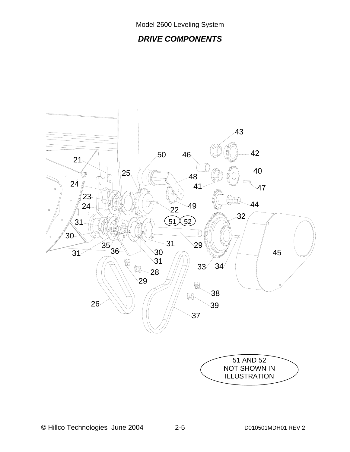### *DRIVE COMPONENTS*

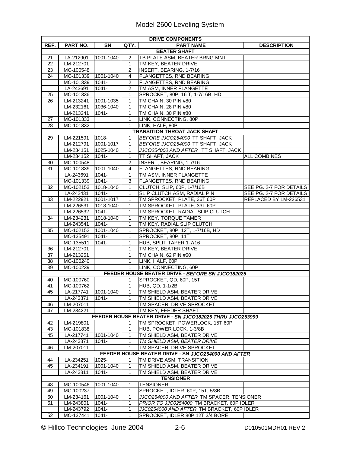### Model 2600 Leveling System

| <b>DRIVE COMPONENTS</b> |           |           |                |                                                           |                         |
|-------------------------|-----------|-----------|----------------|-----------------------------------------------------------|-------------------------|
| REF.                    | PART NO.  | SN        | QTY.           | <b>PART NAME</b>                                          | <b>DESCRIPTION</b>      |
|                         |           |           |                | <b>BEATER SHAFT</b>                                       |                         |
| 21                      | LA-212901 | 1001-1040 | $\overline{2}$ | TB PLATE ASM, BEATER BRNG MNT                             |                         |
| 22                      | LM-212701 |           | 1              | TM KEY, BEATER DRIVE                                      |                         |
| 23                      | MC-100548 |           | 2              | INSERT, BEARING, 1-7/16                                   |                         |
| 24                      | MC-101339 | 1001-1040 | 4              | FLANGETTES, RND BEARING                                   |                         |
|                         | MC-101339 | $1041 -$  | $\overline{2}$ | FLANGETTES, RND BEARING                                   |                         |
|                         | LA-243691 | $1041 -$  | $\overline{2}$ | TM ASM, INNER FLANGETTE                                   |                         |
| 25                      | MC-101336 |           | 1              | SPROCKET, 80P, 16 T, 1-7/16B, HD                          |                         |
| 26                      | LM-213241 | 1001-1035 | 1              | TM CHAIN, 30 PIN #80                                      |                         |
|                         | LM-232161 | 1036-1040 | $\mathbf{1}$   | TM CHAIN, 28 PIN #80                                      |                         |
|                         | LM-213241 | $1041 -$  | 1              | TM CHAIN, 30 PIN #80                                      |                         |
| 27                      | MC-101333 |           | 1              | LINK, CONNECTING, 80P                                     |                         |
| 28                      | MC-101332 |           | $\mathbf 1$    | LINK, HALF, 80P                                           |                         |
|                         |           |           |                | <b>TRANSITION THROAT JACK SHAFT</b>                       |                         |
| 29                      | LM-221591 | 1018-     | 1              | BEFORE JJCO254000 TT SHAFT, JACK                          |                         |
|                         | LM-212791 | 1001-1017 | 1              | BEFORE JJCO254000 TT SHAFT, JACK                          |                         |
|                         | LM-234151 | 1025-1040 | 1              | JJCO254000 AND AFTER TT SHAFT, JACK                       |                         |
|                         | LM-234152 | $1041 -$  | 1              | TT SHAFT, JACK                                            | <b>ALL COMBINES</b>     |
| 30                      | MC-100548 |           | $\overline{c}$ | INSERT, BEARING, 1-7/16                                   |                         |
| 31                      | MC-101339 | 1001-1040 | $\overline{4}$ | <b>FLANGETTES, RND BEARING</b>                            |                         |
|                         | LA-243691 | $1041 -$  | 1              | TM ASM, INNER FLANGETTE                                   |                         |
|                         | MC-101339 | $1041 -$  | 3              | FLANGETTES, RND BEARING                                   |                         |
| 32                      | MC-102153 | 1018-1040 | 1              | CLUTCH, SLIP, 60P, 1-7/16B                                | SEE PG. 2-7 FOR DETAILS |
|                         | LA-242431 | $1041 -$  | 1              | SLIP CLUTCH ASM, RADIAL PIN                               | SEE PG. 2-7 FOR DETAILS |
| 33                      | LM-222921 | 1001-1017 | 1              | TM SPROCKET, PLATE, 36T 60P                               | REPLACED BY LM-226531   |
|                         | LM-226531 | 1018-1040 | 1              | TM SPROCKET, PLATE, 33T 60P                               |                         |
|                         | LM-226532 | $1041 -$  | 1              | TM SPROCKET, RADIAL SLIP CLUTCH                           |                         |
| 34                      | LM-234231 | 1018-1040 | 1              | TM KEY, TORQUE TAMER                                      |                         |
|                         |           |           |                |                                                           |                         |
|                         | LM-243541 | $1041 -$  | 1              | TM KEY, RADIAL SLIP CLUTCH                                |                         |
| 35                      | MC-102152 | 1001-1040 | 1              | SPROCKET, 80P, 12T, 1-7/16B, HD                           |                         |
|                         | MC-135491 | $1041 -$  | 1              | SPROCKET, 80P, 11T                                        |                         |
|                         | MC-135511 | $1041 -$  | 1              | HUB, SPLIT TAPER 1-7/16                                   |                         |
| 36                      | LM-212701 |           | 1              | TM KEY, BEATER DRIVE                                      |                         |
| $\overline{37}$         | LM-213251 |           | 1              | TM CHAIN, 62 PIN #60                                      |                         |
| 38                      | MC-100240 |           | $\mathbf{1}$   | LINK, HALF, 60P                                           |                         |
| 39                      | MC-100239 |           | $\mathbf{1}$   | LINK, CONNECTING, 60P                                     |                         |
|                         |           |           |                | FEEDER HOUSE BEATER DRIVE - BEFORE SN JJC0182025          |                         |
| 40                      | MC-100760 |           | 1              | SPROCKET, QD, 60P, 15T                                    |                         |
| 41                      | MC-100762 |           | $\mathbf{1}$   | HUB, QD, 1-1/2B                                           |                         |
| 45                      | LA-217741 | 1001-1040 | $\overline{1}$ | TM SHIELD ASM, BEATER DRIVE                               |                         |
|                         | LA-243871 | 1041-     | 1              | TM SHIELD ASM, BEATER DRIVE                               |                         |
| 46                      | LM-207011 |           | 1              | TM SPACER, DRIVE SPROCKET                                 |                         |
| 47                      | LM-234221 |           | $\mathbf 1$    | TM KEY, FEEDER SHAFT                                      |                         |
|                         |           |           |                | FEEDER HOUSE BEATER DRIVE - SN JJCO182025 THRU JJCO253999 |                         |
| 42                      | LM-219801 |           | 1              | TM SPROCKET, POWERLOCK, 15T 60P                           |                         |
| 43                      | MC-101838 |           | 1              | HUB, POWER LOCK, 1-3/8B                                   |                         |
| 45                      | LA-217741 | 1001-1040 | 1              | TM SHIELD ASM, BEATER DRIVE                               |                         |
|                         | LA-243871 | 1041-     | $\mathbf{1}$   | TM SHIELD ASM, BEATER DRIVE                               |                         |
| 46                      | LM-207011 |           |                | TM SPACER, DRIVE SPROCKET                                 |                         |
|                         |           |           |                | FEEDER HOUSE BEATER DRIVE - SN JJCO254000 AND AFTER       |                         |
| 44                      | LA-234251 | 1025-     | 1              | TM DRIVE ASM, TRANSITION                                  |                         |
| 45                      | LA-234191 | 1001-1040 | 1              | TM SHIELD ASM, BEATER DRIVE                               |                         |
|                         | LA-243811 | $1041 -$  | 1              | TM SHIELD ASM, BEATER DRIVE                               |                         |
|                         |           |           |                | <b>TENSIONER</b>                                          |                         |
| 48                      | MC-100546 | 1001-1040 | 1              | <b>TENSIONER</b>                                          |                         |
| 49                      | MC-100237 |           | 1              | SPROCKET, IDLER, 60P, 15T, 5/8B                           |                         |
| 50                      | LM-234161 | 1001-1040 | 1              | JJCO254000 AND AFTER TM SPACER, TENSIONER                 |                         |
| 51                      | LM-243801 | $1041 -$  | 1              | PRIOR TO JJC0254000 TM BRACKET, 60P IDLER                 |                         |
|                         | LM-243792 | $1041 -$  | 1              | JJC0254000 AND AFTER TM BRACKET, 60P IDLER                |                         |
| 52                      | MC-137441 | 1041-     | 1              | SPROCKET, IDLER 80P 12T 3/4 BORE                          |                         |

© Hillco Technologies June 2004 2-6 D010501MDH01 REV 2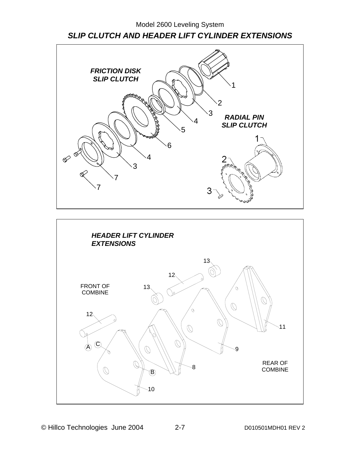Model 2600 Leveling System *SLIP CLUTCH AND HEADER LIFT CYLINDER EXTENSIONS* 



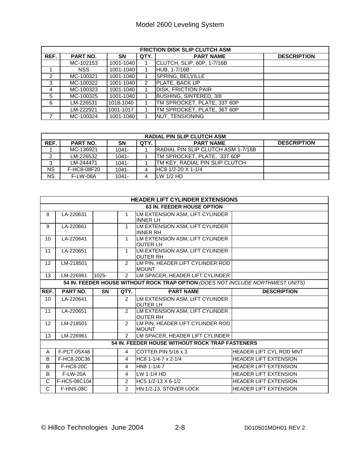| <b>FRICTION DISK SLIP CLUTCH ASM</b> |            |           |      |                               |                    |  |  |  |
|--------------------------------------|------------|-----------|------|-------------------------------|--------------------|--|--|--|
| REF.                                 | PART NO.   | <b>SN</b> | QTY. | <b>PART NAME</b>              | <b>DESCRIPTION</b> |  |  |  |
|                                      | MC-102153  | 1001-1040 |      | CLUTCH, SLIP, 60P, 1-7/16B    |                    |  |  |  |
|                                      | <b>NSS</b> | 1001-1040 |      | <b>HUB, 1-7/16B</b>           |                    |  |  |  |
| 2                                    | MC-100321  | 1001-1040 |      | SPRING, BELVILLE              |                    |  |  |  |
| 3                                    | MC-100322  | 1001-1040 | 2    | <b>PLATE, BACK UP</b>         |                    |  |  |  |
| 4                                    | MC-100323  | 1001-1040 |      | <b>DISK, FRICTION PAIR</b>    |                    |  |  |  |
| 5                                    | MC-100325  | 1001-1040 |      | <b>BUSHING, SINTERED, 3/8</b> |                    |  |  |  |
| 6                                    | LM-226531  | 1018-1040 |      | TM SPROCKET, PLATE, 33T 60P   |                    |  |  |  |
|                                      | LM-222921  | 1001-1017 |      | TM SPROCKET, PLATE, 36T 60P   |                    |  |  |  |
|                                      | MC-100324  | 1001-1040 |      | NUT, TENSIONING               |                    |  |  |  |

| <b>RADIAL PIN SLIP CLUTCH ASM</b> |                 |           |      |                                            |                    |  |  |  |
|-----------------------------------|-----------------|-----------|------|--------------------------------------------|--------------------|--|--|--|
| REF.                              | <b>PART NO.</b> | <b>SN</b> | QTY. | <b>PART NAME</b>                           | <b>DESCRIPTION</b> |  |  |  |
|                                   | MC-136921       | $1041 -$  |      | <b>IRADIAL PIN SLIP CLUTCH ASM 1-7/16B</b> |                    |  |  |  |
| 2                                 | LM-226532       | $1041 -$  |      | ITM SPROCKET, PLATE, 33T 60P               |                    |  |  |  |
| 3                                 | LM-244471       | $1041 -$  |      | <b>TM KEY, RADIAL PIN SLIP CLUTCH</b>      |                    |  |  |  |
| $\overline{\text{NS}}$            | F-HC8-08F20     | $1041 -$  |      | HC8 1/2-20 X 1-1/4                         |                    |  |  |  |
| NS.                               | <b>F-LW-08A</b> | $1041 -$  |      | $LW$ 1/2 HD                                |                    |  |  |  |

|      | <b>HEADER LIFT CYLINDER EXTENSIONS</b>                                          |           |                     |                                                    |                              |  |  |  |  |
|------|---------------------------------------------------------------------------------|-----------|---------------------|----------------------------------------------------|------------------------------|--|--|--|--|
|      | <b>63 IN. FEEDER HOUSE OPTION</b>                                               |           |                     |                                                    |                              |  |  |  |  |
| 8    | LA-220631                                                                       |           | 1                   | LM EXTENSION ASM, LIFT CYLINDER<br><b>INNER LH</b> |                              |  |  |  |  |
| 9    | LA-220661                                                                       |           | 1                   | LM EXTENSION ASM, LIFT CYLINDER<br><b>INNER RH</b> |                              |  |  |  |  |
| 10   | LA-220641                                                                       |           | $\mathbf{1}$        | LM EXTENSION ASM, LIFT CYLINDER<br><b>OUTER LH</b> |                              |  |  |  |  |
| 11   | LA-220651                                                                       |           | 1                   | LM EXTENSION ASM, LIFT CYLINDER<br><b>OUTER RH</b> |                              |  |  |  |  |
| 12   | LM-218501                                                                       |           | $\overline{2}$      | LM PIN, HEADER LIFT CYLINDER ROD<br><b>MOUNT</b>   |                              |  |  |  |  |
| 13   | LM-226961                                                                       | $1025 -$  | $\mathcal{P}$       | LM SPACER, HEADER LIFT CYLINDER                    |                              |  |  |  |  |
|      | 54 IN. FEEDER HOUSE WITHOUT ROCK TRAP OPTION (DOES NOT INCLUDE NORTHWEST UNITS) |           |                     |                                                    |                              |  |  |  |  |
| REF. | PART NO.                                                                        | <b>SN</b> | QTY.                | <b>PART NAME</b>                                   | <b>DESCRIPTION</b>           |  |  |  |  |
| 10   | LA-220641                                                                       |           | $\overline{2}$      | LM EXTENSION ASM, LIFT CYLINDER                    |                              |  |  |  |  |
|      |                                                                                 |           |                     | <b>OUTER LH</b>                                    |                              |  |  |  |  |
| 11   | LA-220651                                                                       |           | $\mathcal{P}$       | LM EXTENSION ASM, LIFT CYLINDER<br><b>OUTER RH</b> |                              |  |  |  |  |
| 12   | LM-218501                                                                       |           | $\mathfrak{D}$      | LM PIN, HEADER LIFT CYLINDER ROD<br><b>MOUNT</b>   |                              |  |  |  |  |
| 13   | LM-226961                                                                       |           | $\mathcal{P}$       | LM SPACER, HEADER LIFT CYLINDER                    |                              |  |  |  |  |
|      |                                                                                 |           |                     | 54 IN. FEEDER HOUSE WITHOUT ROCK TRAP FASTENERS    |                              |  |  |  |  |
| A    | F-PCT-05X48                                                                     |           | 4                   | COTTER PIN 5/16 x 3                                | HEADER LIFT CYL ROD MNT      |  |  |  |  |
| B    | F-HC8-20C36                                                                     |           | $\overline{4}$      | HC8 1-1/4-7 x 2-1/4                                | <b>HEADER LIFT EXTENSION</b> |  |  |  |  |
| B    | F-HC8-20C                                                                       |           | 4                   | HN8 1-1/4-7                                        | <b>HEADER LIFT EXTENSION</b> |  |  |  |  |
| B    | <b>F-LW-20A</b>                                                                 |           | 4                   | LW 1-1/4 HD                                        | <b>HEADER LIFT EXTENSION</b> |  |  |  |  |
| C    | F-HC5-08C104                                                                    |           | 2<br>$\overline{2}$ | HC5 1/2-13 X 6-1/2                                 | <b>HEADER LIFT EXTENSION</b> |  |  |  |  |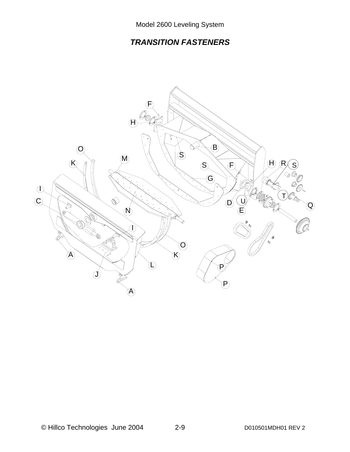# *TRANSITION FASTENERS*

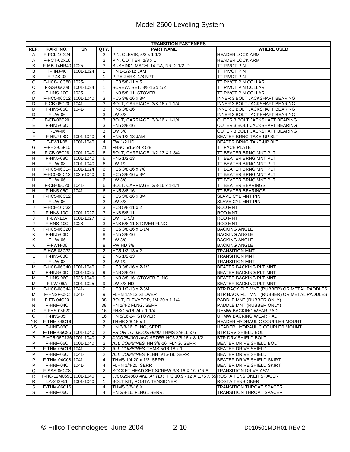### Model 2600 Leveling System

|                | <b>TRANSITION FASTENERS</b>        |           |                |                                                                      |                                            |  |  |
|----------------|------------------------------------|-----------|----------------|----------------------------------------------------------------------|--------------------------------------------|--|--|
| REF.           | PART NO.                           | SN        | QTY.           | <b>PART NAME</b>                                                     | <b>WHERE USED</b>                          |  |  |
| A              | F-PCL-10X24                        |           | $\mathbf{2}$   | PIN, CLEVIS, 5/8 x 1-1/2                                             | <b>HEADER LOCK ARM</b>                     |  |  |
| Α              | F-PCT-02X16                        |           | $\overline{2}$ | PIN, COTTER, 1/8 x 1                                                 | <b>HEADER LOCK ARM</b>                     |  |  |
| B              | F-MB-14NR40 1025-                  |           | 3              | BUSHING, MACH 14 GA, NR, 2-1/2 ID                                    | <b>TT PIVOT PIN</b>                        |  |  |
| B              | <b>F-HNJ-40</b>                    | 1001-1024 | $\mathbf{1}$   | HN 2-1/2-12 JAM                                                      | <b>TT PIVOT PIN</b>                        |  |  |
| В              | $F-PZS-02$                         |           | $\mathbf{1}$   | PIPE ZERK, 1/8 NPT                                                   | <b>TT PIVOT PIN</b>                        |  |  |
| $\overline{c}$ | F-HC8-10C80 1025-                  |           | 1              | HC8 5/8-11 x 5                                                       | <b>TT PIVOT PIN COLLAR</b>                 |  |  |
| С              | F-SS-06C08 1001-1024               |           | $\mathbf{1}$   | SCREW, SET, 3/8-16 x 1/2                                             | <b>TT PIVOT PIN COLLAR</b>                 |  |  |
| C              | F-HNS-10C                          | 1025-     | 1              | <b>HN8 5/8-11, STOVER</b>                                            | <b>TT PIVOT PIN COLLAR</b>                 |  |  |
| D              | F-HC5-06C12 1001-1040              |           | 3              | HC5 3/8-16 x 3/4                                                     | INNER 3 BOLT JACKSHAFT BEARING             |  |  |
| D              | F-CB-06C20 1041-                   |           | 3              | BOLT, CARRIAGE, 3/8-16 x 1-1/4                                       | INNER 3 BOLT JACKSHAFT BEARING             |  |  |
| D              | <b>F-HN5-06C</b>                   | 1041-     | 3              | HN5 3/8-16                                                           | INNER 3 BOLT JACKSHAFT BEARING             |  |  |
| D              | $F-LW-06$                          |           | 3              | LW 3/8                                                               | INNER 3 BOLT JACKSHAFT BEARING             |  |  |
| Е              | F-CB-06C20                         |           | 3              | BOLT, CARRIAGE, 3/8-16 x 1-1/4                                       | OUTER 3 BOLT JACKSHAFT BEARING             |  |  |
| Е              | <b>F-HN5-06C</b>                   |           | 3              | HN5 3/8-16                                                           | <b>OUTER 3 BOLT JACKSHAFT BEARING</b>      |  |  |
| E              | F-LW-06                            |           | 3              | LW 3/8                                                               | OUTER 3 BOLT JACKSHAFT BEARING             |  |  |
| F.             | F-HNJ-08C                          | 1001-1040 | 4              | HN5 1/2-13 JAM                                                       | BEATER BRNG TAKE-UP BLT                    |  |  |
| F              | F-FWH-08                           | 1001-1040 | 4              | <b>FW 1/2 HD</b>                                                     | BEATER BRNG TAKE-UP BLT                    |  |  |
| G              | F-FHS-05F10                        |           | 21             | FHSC 5/16-24 x 5/8                                                   | TT FACE PLATE                              |  |  |
| H              | F-CB-08C28 1001-1040               |           | 6              | BOLT, CARRIAGE, 1/2-13 X 1-3/4                                       | TT BEATER BRNG MNT PLT                     |  |  |
| H              | <b>F-HN5-08C</b>                   | 1001-1040 | 6              | HN5 1/2-13                                                           | TT BEATER BRNG MNT PLT                     |  |  |
| H              | <b>F-LW-08</b>                     | 1001-1040 | 6              | $LW$ 1/2                                                             | TT BEATER BRNG MNT PLT                     |  |  |
|                | F-HC5-06C14 1001-1024              |           | 6              | HC5 3/8-16 x 7/8                                                     |                                            |  |  |
| H              |                                    |           |                |                                                                      | TT BEATER BRNG MNT PLT                     |  |  |
| H              | F-HC5-06C12 1025-1040<br>$F-LW-06$ |           | 6              | HC5 3/8-16 x 3/4                                                     | TT BEATER BRNG MNT PLT                     |  |  |
| H              |                                    |           | 6              | LW 3/8                                                               | <b>TT BEATER BRNG MNT PLT</b>              |  |  |
| H              | F-CB-06C20 1041-                   |           | 6              | BOLT, CARRIAGE, 3/8-16 x 1-1/4                                       | <b>TT BEATER BEARINGS</b>                  |  |  |
| H              | F-HN5-06C                          | $1041 -$  | 6              | HN5 3/8-16                                                           | <b>TT BEATER BEARINGS</b>                  |  |  |
|                | F-HC5-06C12                        |           | $\overline{2}$ | HC5 3/8-16 x 3/4                                                     | <b>SLAVE CYL MNT PIN</b>                   |  |  |
|                | <b>F-LW-06</b>                     |           | 2              | LW 3/8                                                               | <b>SLAVE CYL MNT PIN</b>                   |  |  |
| J              | F-HC8-10C32                        |           | 3              | HC8 5/8-11 x 2                                                       | <b>ROD MNT</b>                             |  |  |
| J              | F-HN8-10C 1001-1027                |           | 3              | HN8 5/8-11                                                           | <b>ROD MNT</b>                             |  |  |
| J              | $F-LW-10A$                         | 1001-1027 | 3              | LW HD 5/8                                                            | <b>ROD MNT</b>                             |  |  |
| J              | F-HNS-10C                          | 1028-     | 3              | HN8 5/8-11 STOVER FLNG                                               | <b>ROD MNT</b>                             |  |  |
| Κ              | F-HC5-06C20                        |           | 8              | HC5 3/8-16 x 1-1/4                                                   | <b>BACKING ANGLE</b>                       |  |  |
| Κ              | <b>F-HN5-06C</b>                   |           | 8              | HN5 3/8-16                                                           | <b>BACKING ANGLE</b>                       |  |  |
| K              | F-LW-06                            |           | 8              | LW 3/8                                                               | <b>BACKING ANGLE</b>                       |  |  |
| K              | F-FWH-06                           |           | 8              | <b>FW HD 3/8</b>                                                     | <b>BACKING ANGLE</b>                       |  |  |
| L              | F-HC5-08C32                        |           | 2              | HC5 1/2-13 x 2                                                       | <b>TRANSITION MNT</b>                      |  |  |
| L              | F-HN5-08C                          |           | $\overline{2}$ | HN5 1/2-13                                                           | <b>TRANSITION MNT</b>                      |  |  |
| L              | <b>F-LW-08</b>                     |           | $\overline{2}$ | $LW$ 1/2                                                             | <b>TRANSITION MNT</b>                      |  |  |
| М              | F-HC8-06C40 1001-1040              |           | 9              | HC8 3/8-16 x 2-1/2                                                   | BEATER BACKING PLT MNT                     |  |  |
| м              | F-HN8-06C 1001-1025                |           | 9              | HN8 3/8-16                                                           | BEATER BACKING PLT MNT                     |  |  |
| м              | F-HNS-06C 1026-1040                |           | 9              | HN8 3/8-16, STOVER FLNG                                              | BEATER BACKING PLT MNT                     |  |  |
| м              | F-LW-06A                           | 1001-1025 | 9              | LW 3/8 HD                                                            | <b>BEATER BACKING PLT MNT</b>              |  |  |
| M              | F-HC8-08C44 1041-                  |           | 9              | HC8 1/2-13 x 2-3/4                                                   | BTR BACK PLT MNT (RUBBER) OR METAL PADDLES |  |  |
| м              | F-HNSF-08C 1041-                   |           | 9              | FLHN 1/2-13 STOVER                                                   | BTR BACK PLT MNT (RUBBER) OR METAL PADDLES |  |  |
| N              | F-EB-04C20                         |           | 38             | BOLT, ELEVATOR, 1/4-20 x 1-1/4                                       | PADDLE MNT (RUBBER ONLY)                   |  |  |
| N.             | F-HNF-04C                          |           | 38             | HN 1/4-2 FLNG, SERR                                                  | PADDLE MNT (RUBBER ONLY)                   |  |  |
| $\circ$        | F-FHS-05F20                        |           | 16             | FHSC 5/16-24 x 1-1/4                                                 | UHMW BACKING WEAR PAD                      |  |  |
| $\circ$        | F-HNS-05F                          |           | 16             | <b>HN 5/16-24, STOVER</b>                                            | UHMW BACKING WEAR PAD                      |  |  |
| <b>NS</b>      | F-THM-06C16                        |           | 2              | THMS 3/8-16 x 1                                                      | HEADER HYDRAULIC COUPLER MOUNT             |  |  |
| NS.            | F-HNF-06C                          |           | $\overline{2}$ | HN 3/8-16, FLNG, SERR                                                | HEADER HYDRAULIC COUPLER MOUNT             |  |  |
| P.             | F-THM-06C96 1001-1040              |           | 2              | PRIOR TO JJCO254000 THMS 3/8-16 x 6                                  | BTR DRV SHIELD BOLT                        |  |  |
| P              | F-HC5-06C136 1001-1040             |           | $\overline{2}$ | JJCO254000 AND AFTER HC5 3/8-16 x 8-1/2                              | BTR DRV SHIELD BOLT                        |  |  |
| P              | F-HNF-06C                          | 1001-1040 | 2              | ALL COMBINES HN 3/8-16, FLNG, SERR                                   | BEATER DRIVE SHIELD BOLT                   |  |  |
| P              | F-THM-05C16 1041-                  |           | 2              | ALL COMBINES THMS 5/16-18 x 1                                        | <b>BEATER DRIVE SHIELD</b>                 |  |  |
| P              | F-HNF-05C                          | 1041-     | $\overline{2}$ | ALL COMBINES FLHN 5/16-18, SERR                                      | BEATER DRIVE SHIELD                        |  |  |
| P              | F-THM-04C08 1041-                  |           | 4              | THMS 1/4-20 x 1/2, SERR                                              | BEATER DRIVE SHIELD SKIRT                  |  |  |
| P              | F-HNF-04C                          | $1041 -$  | 4              | FLHN 1/4-20. SERR                                                    | BEATER DRIVE SHIELD SKIRT                  |  |  |
| Q              | F-SSS-06C08                        |           | 2              | SOCKET HEAD SET SCREW 3/8-16 X 1/2 GR 8                              | <b>TRANSITION DRIVE ASM</b>                |  |  |
| R              | F-HC-12M065E 1001-1040             |           | 1              | JJCO254000 AND AFTER HC 10.9 - 12 X 1.75 X 65 ROSTA TENSIONER SPACER |                                            |  |  |
| R              | LA-242951                          | 1001-1040 | 1              | <b>BOLT KIT, ROSTA TENSIONER</b>                                     | <b>ROSTA TENSIONER</b>                     |  |  |
| S              | F-THM-06C16                        |           | 4              | THMS 3/8-16 X 1                                                      | <b>TRANSITION THROAT SPACER</b>            |  |  |
| S              | F-HNF-06C                          |           | 4              | HN 3/8-16, FLNG., SERR.                                              | TRANSITION THROAT SPACER                   |  |  |
|                |                                    |           |                |                                                                      |                                            |  |  |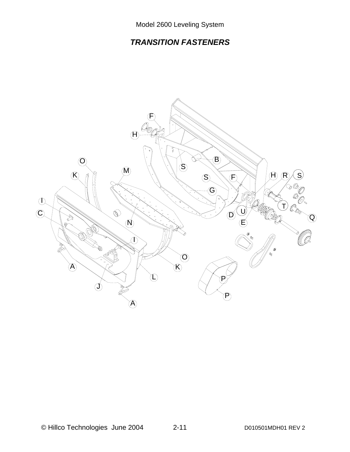# *TRANSITION FASTENERS*

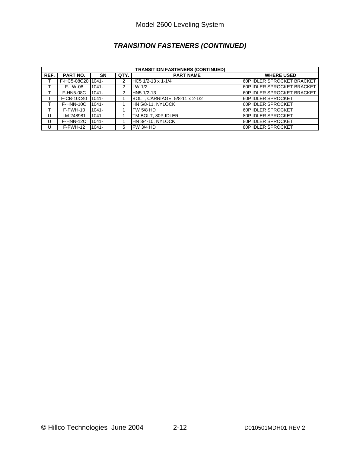# *TRANSITION FASTENERS (CONTINUED)*

|      | <b>TRANSITION FASTENERS (CONTINUED)</b> |           |      |                                |                                   |  |  |
|------|-----------------------------------------|-----------|------|--------------------------------|-----------------------------------|--|--|
| REF. | <b>PART NO.</b>                         | <b>SN</b> | QTY. | <b>PART NAME</b>               | <b>WHERE USED</b>                 |  |  |
|      | F-HC5-08C20 1041-                       |           | 2    | HC5 1/2-13 x 1-1/4             | 160P IDLER SPROCKET BRACKET       |  |  |
|      | <b>F-LW-08</b>                          | $1041 -$  | 2    | LW 1/2                         | <b>60P IDLER SPROCKET BRACKET</b> |  |  |
|      | <b>F-HN5-08C</b>                        | 1041-     | 2    | HN5 1/2-13                     | <b>60P IDLER SPROCKET BRACKET</b> |  |  |
|      | F-CB-10C40                              | $1041 -$  |      | BOLT, CARRIAGE, 5/8-11 x 2-1/2 | 60P IDLER SPROCKET                |  |  |
|      | $F$ -HNN-10C                            | $1041 -$  |      | HN 5/8-11. NYLOCK              | <b>60P IDLER SPROCKET</b>         |  |  |
|      | F-FWH-10                                | $1041 -$  |      | FW <sub>5/8</sub> HD           | 160P IDLER SPROCKET               |  |  |
|      | LM-248981                               | $1041 -$  |      | TM BOLT, 80P IDLER             | 80P IDLER SPROCKET                |  |  |
|      | F-HNN-12C                               | $1041 -$  |      | HN 3/4-10. NYLOCK              | 80P IDLER SPROCKET                |  |  |
|      | F-FWH-12                                | $1041 -$  | 5    | IFW 3/4 HD                     | 180P IDLER SPROCKET               |  |  |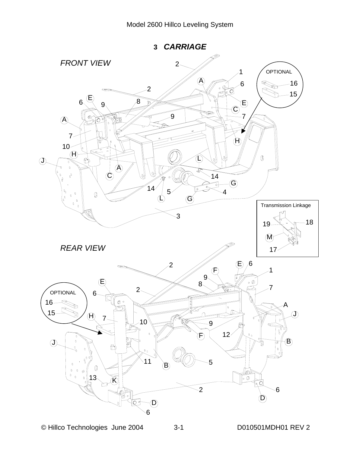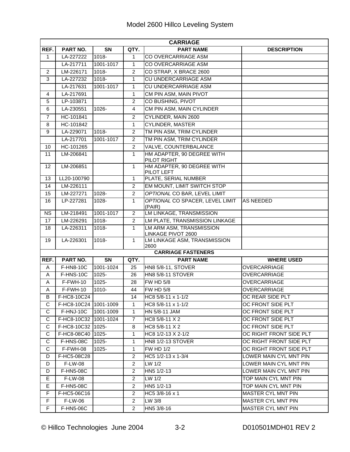|                | <b>CARRIAGE</b>       |           |                |                                                |                         |  |  |  |
|----------------|-----------------------|-----------|----------------|------------------------------------------------|-------------------------|--|--|--|
| REF.           | PART NO.              | <b>SN</b> | QTY.           | <b>PART NAME</b>                               | <b>DESCRIPTION</b>      |  |  |  |
| 1              | LA-227222             | 1018-     | 1              | CO OVERCARRIAGE ASM                            |                         |  |  |  |
|                | LA-217711             | 1001-1017 | $\mathbf{1}$   | CO OVERCARRIAGE ASM                            |                         |  |  |  |
| $\overline{c}$ | LM-226171             | 1018-     | $\overline{c}$ | CO STRAP, X BRACE 2600                         |                         |  |  |  |
| 3              | LA-227232             | $1018 -$  | $\mathbf{1}$   | <b>CU UNDERCARRIAGE ASM</b>                    |                         |  |  |  |
|                | LA-217631             | 1001-1017 | $\mathbf{1}$   | <b>CU UNDERCARRIAGE ASM</b>                    |                         |  |  |  |
| 4              | LA-217691             |           | $\mathbf{1}$   | CM PIN ASM, MAIN PIVOT                         |                         |  |  |  |
| $\overline{5}$ | LP-103871             |           | $\overline{2}$ | CO BUSHING, PIVOT                              |                         |  |  |  |
| 6              | LA-230551             | 1026-     | $\overline{4}$ | CM PIN ASM, MAIN CYLINDER                      |                         |  |  |  |
| $\overline{7}$ | HC-101841             |           | $\overline{c}$ | CYLINDER, MAIN 2600                            |                         |  |  |  |
| 8              | HC-101842             |           | $\overline{1}$ | <b>CYLINDER, MASTER</b>                        |                         |  |  |  |
| 9              | LA-229071             | 1018-     | $\overline{c}$ | TM PIN ASM, TRIM CYLINDER                      |                         |  |  |  |
|                | LA-217701             | 1001-1017 | $\overline{c}$ | TM PIN ASM, TRIM CYLINDER                      |                         |  |  |  |
| 10             | HC-101265             |           | $\overline{2}$ | VALVE, COUNTERBALANCE                          |                         |  |  |  |
| 11             | LM-206841             |           | $\mathbf{1}$   | HM ADAPTER, 90 DEGREE WITH<br>PILOT RIGHT      |                         |  |  |  |
| 12             | LM-206851             |           | $\mathbf{1}$   | HM ADAPTER, 90 DEGREE WITH<br>PILOT LEFT       |                         |  |  |  |
| 13             | LL20-100790           |           | $\mathbf{1}$   | PLATE, SERIAL NUMBER                           |                         |  |  |  |
| 14             | LM-226111             |           | $\overline{2}$ | EM MOUNT, LIMIT SWITCH STOP                    |                         |  |  |  |
| 15             | LM-227271             | 1028-     | $\overline{c}$ | OPTIONAL CO BAR, LEVEL LIMIT                   |                         |  |  |  |
| 16             | LP-227281             | 1028-     | $\mathbf{1}$   | OPTIONAL CO SPACER, LEVEL LIMIT<br>(PAIR)      | <b>AS NEEDED</b>        |  |  |  |
| <b>NS</b>      | LM-218491             | 1001-1017 | $\overline{2}$ | LM LINKAGE, TRANSMISSION                       |                         |  |  |  |
| 17             | LM-226291             | 1018-     | $\overline{2}$ | LM PLATE, TRANSMISSION LINKAGE                 |                         |  |  |  |
| 18             | LA-226311             | 1018-     | $\mathbf{1}$   | LM ARM ASM, TRANSMISSION<br>LINKAGE PIVOT 2600 |                         |  |  |  |
| 19             | LA-226301             | 1018-     | $\mathbf{1}$   | LM LINKAGE ASM, TRANSMISSION<br>2600           |                         |  |  |  |
|                |                       |           |                | <b>CARRIAGE FASTENERS</b>                      |                         |  |  |  |
| REF.           | PART NO.              | <b>SN</b> | QTY.           | <b>PART NAME</b>                               | <b>WHERE USED</b>       |  |  |  |
| A              | F-HN8-10C             | 1001-1024 | 25             | <b>HN8 5/8-11, STOVER</b>                      | <b>OVERCARRIAGE</b>     |  |  |  |
| A              | F-HNS-10C             | 1025-     | 26             | <b>HN8 5/8-11 STOVER</b>                       | OVERCARRIAGE            |  |  |  |
| A              | F-FWH-10              | 1025-     | 28             | <b>FW HD 5/8</b>                               | <b>OVERCARRIAGE</b>     |  |  |  |
| A              | F-FWH-10              | 1010-     | 44             | <b>FW HD 5/8</b>                               | <b>OVERCARRIAGE</b>     |  |  |  |
| B              | F-HC8-10C24           |           | 14             | HC8 5/8-11 x 1-1/2                             | OC REAR SIDE PLT        |  |  |  |
| C              | F-HC8-10C24 1001-1009 |           | $\mathbf{1}$   | HC8 $5/8-11 \times 1-1/2$                      | OC FRONT SIDE PLT       |  |  |  |
| C              | F-HNJ-10C             | 1001-1009 | $\mathbf{1}$   | HN 5/8-11 JAM                                  | OC FRONT SIDE PLT       |  |  |  |
| C              | F-HC8-10C32 1001-1024 |           | $\overline{7}$ | HC8 5/8-11 X 2                                 | OC FRONT SIDE PLT       |  |  |  |
| C              | F-HC8-10C32 1025-     |           | 8              | HC8 $5/8-11 \times 2$                          | OC FRONT SIDE PLT       |  |  |  |
| C              | F-HC8-08C40           | 1025-     | 1              | HC8 1/2-13 X 2-1/2                             | OC RIGHT FRONT SIDE PLT |  |  |  |
| C              | F-HNS-08C             | 1025-     | 1              | <b>HN8 1/2-13 STOVER</b>                       | OC RIGHT FRONT SIDE PLT |  |  |  |
| C              | F-FWH-08              | $1025 -$  | $\mathbf{1}$   | <b>FW HD 1/2</b>                               | OC RIGHT FRONT SIDE PLT |  |  |  |
| D.             | F-HC5-08C28           |           | 2              | HC5 1/2-13 x 1-3/4                             | LOWER MAIN CYL MNT PIN  |  |  |  |
| D              | <b>F-LW-08</b>        |           | 2              | LW 1/2                                         | LOWER MAIN CYL MNT PIN  |  |  |  |
| D              | F-HN5-08C             |           | $\overline{c}$ | HN5 1/2-13                                     | LOWER MAIN CYL MNT PIN  |  |  |  |
| E              | <b>F-LW-08</b>        |           | $\overline{c}$ | LW 1/2                                         | TOP MAIN CYL MNT PIN    |  |  |  |
| E              | <b>F-HN5-08C</b>      |           | $\overline{c}$ | HN5 1/2-13                                     | TOP MAIN CYL MNT PIN    |  |  |  |
| F              | F-HC5-06C16           |           | $\overline{c}$ | HC5 3/8-16 x 1                                 | MASTER CYL MNT PIN      |  |  |  |
| F              | <b>F-LW-06</b>        |           | $\overline{c}$ | LW 3/8                                         | MASTER CYL MNT PIN      |  |  |  |
| F.             | <b>F-HN5-06C</b>      |           | 2              | HN5 3/8-16                                     | MASTER CYL MNT PIN      |  |  |  |
|                |                       |           |                |                                                |                         |  |  |  |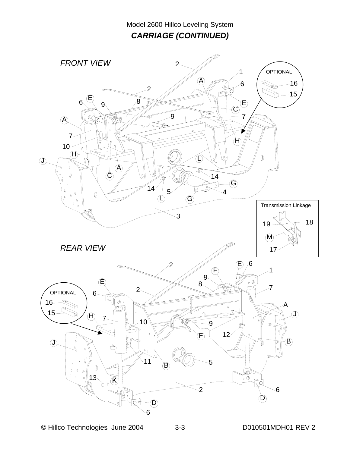# Model 2600 Hillco Leveling System *CARRIAGE (CONTINUED)*

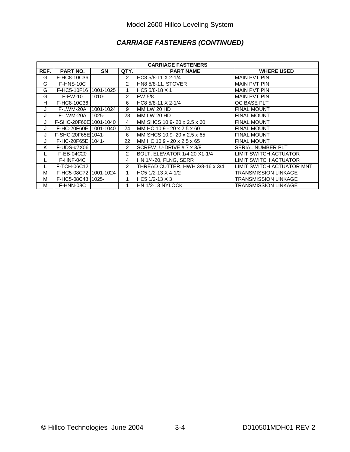# *CARRIAGE FASTENERS (CONTINUED)*

|      | <b>CARRIAGE FASTENERS</b> |           |                |                                 |                              |  |  |
|------|---------------------------|-----------|----------------|---------------------------------|------------------------------|--|--|
| REF. | <b>PART NO.</b>           | <b>SN</b> | QTY.           | <b>PART NAME</b>                | <b>WHERE USED</b>            |  |  |
| G    | F-HC8-10C36               |           | $\overline{2}$ | HC8 5/8-11 X 2-1/4              | <b>MAIN PVT PIN</b>          |  |  |
| G    | F-HNS-10C                 |           | $\mathcal{P}$  | HN8 5/8-11, STOVER              | <b>MAIN PVT PIN</b>          |  |  |
| G    | F-HC5-10F16 1001-1025     |           |                | HC5 5/8-18 X 1                  | <b>MAIN PVT PIN</b>          |  |  |
| G    | <b>F-FW-10</b>            | 1010-     | 2              | <b>FW 5/8</b>                   | <b>MAIN PVT PIN</b>          |  |  |
| H    | F-HC8-10C36               |           | 6              | HC8 5/8-11 X 2-1/4              | OC BASE PLT                  |  |  |
| J    | F-LWM-20A                 | 1001-1024 | 9              | MM LW 20 HD                     | <b>FINAL MOUNT</b>           |  |  |
| J    | F-LWM-20A                 | 1025-     | 28             | MM LW 20 HD                     | <b>FINAL MOUNT</b>           |  |  |
| J    | F-SHC-20F60E 1001-1040    |           | 4              | MM SHCS 10.9-20 x 2.5 x 60      | <b>FINAL MOUNT</b>           |  |  |
| J    | F-HC-20F60E 1001-1040     |           | 24             | MM HC 10.9 - 20 x 2.5 x 60      | <b>FINAL MOUNT</b>           |  |  |
| J    | F-SHC-20F65E 1041-        |           | 6              | MM SHCS 10.9-20 x 2.5 x 65      | <b>FINAL MOUNT</b>           |  |  |
| J    | F-HC-20F65E 1041-         |           | 22             | IMM HC 10.9 - 20 x 2.5 x 65     | <b>FINAL MOUNT</b>           |  |  |
| Κ    | F-UDS-#7X06               |           | 2              | SCREW, U-DRIVE # 7 x 3/8        | SERIAL NUMBER PLT            |  |  |
|      | F-EB-04C20                |           | 2              | BOLT, ELEVATOR 1/4-20 X1-1/4    | LIMIT SWITCH ACTUATOR        |  |  |
|      | F-HNF-04C                 |           | 4              | HN 1/4-20, FLNG, SERR           | <b>LIMIT SWITCH ACTUATOR</b> |  |  |
| Ц.   | F-TCH-06C12               |           | 2              | THREAD CUTTER, HWH 3/8-16 x 3/4 | LIMIT SWITCH ACTUATOR MNT    |  |  |
| м    | F-HC5-08C72 1001-1024     |           |                | HC5 1/2-13 X 4-1/2              | TRANSMISSION LINKAGE         |  |  |
| М    | F-HC5-08C48 1025-         |           |                | HC5 1/2-13 X 3                  | <b>TRANSMISSION LINKAGE</b>  |  |  |
| М    | F-HNN-08C                 |           |                | HN 1/2-13 NYLOCK                | <b>TRANSMISSION LINKAGE</b>  |  |  |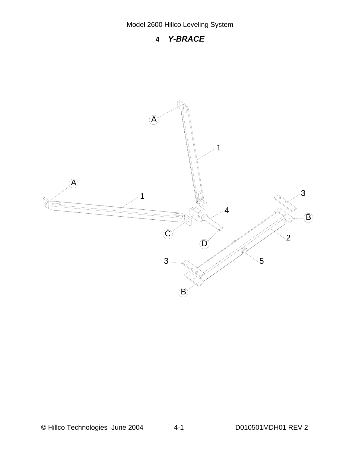Model 2600 Hillco Leveling System

### **4** *Y-BRACE*

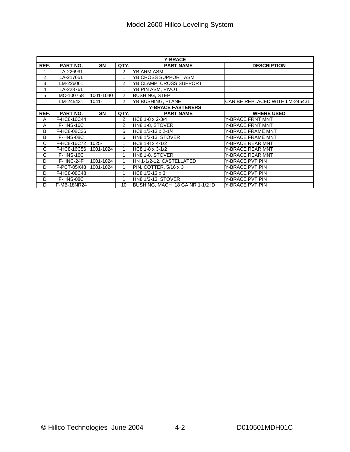|                | <b>Y-BRACE</b>           |           |                |                                 |                                |  |  |  |  |
|----------------|--------------------------|-----------|----------------|---------------------------------|--------------------------------|--|--|--|--|
| REF.           | PART NO.                 | <b>SN</b> | QTY.           | <b>PART NAME</b>                | <b>DESCRIPTION</b>             |  |  |  |  |
|                | LA-226991                |           | $\overline{2}$ | <b>YB ARM ASM</b>               |                                |  |  |  |  |
| $\overline{2}$ | LA-217651                |           |                | YB CROSS SUPPORT ASM            |                                |  |  |  |  |
| 3              | LM-226061                |           | $\overline{2}$ | YB CLAMP, CROSS SUPPORT         |                                |  |  |  |  |
| 4              | LA-228761                |           |                | YB PIN ASM, PIVOT               |                                |  |  |  |  |
| 5              | MC-100758                | 1001-1040 | $\overline{2}$ | <b>BUSHING, STEP</b>            |                                |  |  |  |  |
|                | LM-245431                | $1041 -$  | $\overline{2}$ | <b>YB BUSHING, PLANE</b>        | CAN BE REPLACED WITH LM-245431 |  |  |  |  |
|                | <b>Y-BRACE FASTENERS</b> |           |                |                                 |                                |  |  |  |  |
| REF.           | PART NO.                 | <b>SN</b> | QTY.           | <b>PART NAME</b>                | <b>WHERE USED</b>              |  |  |  |  |
| A              | F-HC8-16C44              |           | 2              | HC8 1-8 x 2-3/4                 | <b>Y-BRACE FRNT MNT</b>        |  |  |  |  |
| A              | F-HNS-16C                |           | $\overline{2}$ | HN8 1-8, STOVER                 | <b>Y-BRACE FRNT MNT</b>        |  |  |  |  |
| B              | F-HC8-08C36              |           | 6              | HC8 1/2-13 x 2-1/4              | <b>Y-BRACE FRAME MNT</b>       |  |  |  |  |
| B              | F-HNS-08C                |           | 6              | <b>HN8 1/2-13, STOVER</b>       | <b>Y-BRACE FRAME MNT</b>       |  |  |  |  |
| C              | F-HC8-16C72 1025-        |           |                | HC8 1-8 x 4-1/2                 | <b>Y-BRACE REAR MNT</b>        |  |  |  |  |
| C              | F-HC8-16C56 1001-1024    |           |                | HC8 1-8 x 3-1/2                 | <b>Y-BRACE REAR MNT</b>        |  |  |  |  |
| C              | F-HNS-16C                |           | 1              | HN8 1-8, STOVER                 | <b>Y-BRACE REAR MNT</b>        |  |  |  |  |
| D              | F-HNC-24F                | 1001-1024 |                | HN 1-1/2-12, CASTELLATED        | Y-BRACE PVT PIN                |  |  |  |  |
| D              | F-PCT-05X48 1001-1024    |           |                | PIN, COTTER, 5/16 x 3           | Y-BRACE PVT PIN                |  |  |  |  |
| D              | F-HC8-08C48              |           |                | HC8 1/2-13 x 3                  | Y-BRACE PVT PIN                |  |  |  |  |
| D              | F-HNS-08C                |           |                | <b>HN8 1/2-13, STOVER</b>       | Y-BRACE PVT PIN                |  |  |  |  |
| D              | F-MB-18NR24              |           | 10             | BUSHING, MACH 18 GA NR 1-1/2 ID | Y-BRACE PVT PIN                |  |  |  |  |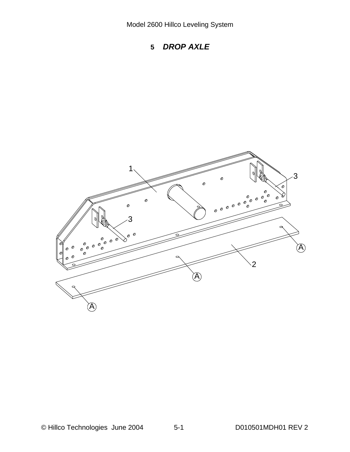Model 2600 Hillco Leveling System



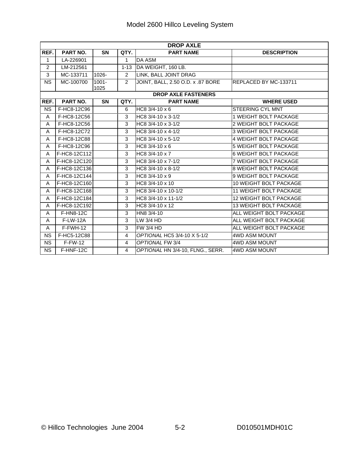|                | <b>DROP AXLE</b> |                  |                |                                   |                              |  |  |  |  |  |  |
|----------------|------------------|------------------|----------------|-----------------------------------|------------------------------|--|--|--|--|--|--|
| REF.           | PART NO.         | SN               | QTY.           | <b>PART NAME</b>                  | <b>DESCRIPTION</b>           |  |  |  |  |  |  |
| 1              | LA-226901        |                  | $\mathbf{1}$   | <b>DA ASM</b>                     |                              |  |  |  |  |  |  |
| $\overline{2}$ | LM-212561        |                  | $1 - 13$       | DA WEIGHT, 160 LB.                |                              |  |  |  |  |  |  |
| $\overline{3}$ | MC-133711        | 1026-            | $\overline{2}$ | LINK, BALL JOINT DRAG             |                              |  |  |  |  |  |  |
| <b>NS</b>      | MC-100700        | $1001 -$<br>1025 | $\overline{2}$ | JOINT, BALL, 2.50 O.D. x .87 BORE | REPLACED BY MC-133711        |  |  |  |  |  |  |
|                |                  |                  |                | <b>DROP AXLE FASTENERS</b>        |                              |  |  |  |  |  |  |
| REF.           | PART NO.         | SN               | QTY.           | <b>PART NAME</b>                  | <b>WHERE USED</b>            |  |  |  |  |  |  |
| <b>NS</b>      | F-HC8-12C96      |                  | 6              | HC8 3/4-10 x 6                    | <b>STEERING CYL MNT</b>      |  |  |  |  |  |  |
| A              | F-HC8-12C56      |                  | 3              | HC8 3/4-10 x 3-1/2                | <b>1 WEIGHT BOLT PACKAGE</b> |  |  |  |  |  |  |
| A              | F-HC8-12C56      |                  | 3              | HC8 3/4-10 x 3-1/2                | 2 WEIGHT BOLT PACKAGE        |  |  |  |  |  |  |
| A              | F-HC8-12C72      |                  | 3              | HC8 3/4-10 x 4-1/2                | 3 WEIGHT BOLT PACKAGE        |  |  |  |  |  |  |
| A              | F-HC8-12C88      |                  | 3              | HC8 3/4-10 x 5-1/2                | 4 WEIGHT BOLT PACKAGE        |  |  |  |  |  |  |
| A              | F-HC8-12C96      |                  | 3              | HC8 3/4-10 x 6                    | <b>5 WEIGHT BOLT PACKAGE</b> |  |  |  |  |  |  |
| A              | F-HC8-12C112     |                  | 3              | HC8 3/4-10 x 7                    | <b>6 WEIGHT BOLT PACKAGE</b> |  |  |  |  |  |  |
| A              | F-HC8-12C120     |                  | 3              | HC8 3/4-10 x 7-1/2                | 7 WEIGHT BOLT PACKAGE        |  |  |  |  |  |  |
| A              | F-HC8-12C136     |                  | 3              | HC8 3/4-10 x 8-1/2                | <b>8 WEIGHT BOLT PACKAGE</b> |  |  |  |  |  |  |
| A              | F-HC8-12C144     |                  | 3              | HC8 3/4-10 x 9                    | 9 WEIGHT BOLT PACKAGE        |  |  |  |  |  |  |
| A              | F-HC8-12C160     |                  | 3              | HC8 3/4-10 x 10                   | 10 WEIGHT BOLT PACKAGE       |  |  |  |  |  |  |
| A              | F-HC8-12C168     |                  | 3              | HC8 3/4-10 x 10-1/2               | 11 WEIGHT BOLT PACKAGE       |  |  |  |  |  |  |
| A              | F-HC8-12C184     |                  | 3              | HC8 3/4-10 x 11-1/2               | 12 WEIGHT BOLT PACKAGE       |  |  |  |  |  |  |
| A              | F-HC8-12C192     |                  | 3              | HC8 3/4-10 x 12                   | 13 WEIGHT BOLT PACKAGE       |  |  |  |  |  |  |
| A              | F-HN8-12C        |                  | 3              | HN8 3/4-10                        | ALL WEIGHT BOLT PACKAGE      |  |  |  |  |  |  |
| A              | $F-LW-12A$       |                  | $\overline{3}$ | $LW$ 3/4 HD                       | ALL WEIGHT BOLT PACKAGE      |  |  |  |  |  |  |
| A              | F-FWH-12         |                  | 3              | FW 3/4 HD                         | ALL WEIGHT BOLT PACKAGE      |  |  |  |  |  |  |
| <b>NS</b>      | F-HC5-12C88      |                  | $\overline{4}$ | OPTIONAL HC5 3/4-10 X 5-1/2       | <b>4WD ASM MOUNT</b>         |  |  |  |  |  |  |
| <b>NS</b>      | $F-FW-12$        |                  | $\overline{4}$ | OPTIONAL FW 3/4                   | 4WD ASM MOUNT                |  |  |  |  |  |  |
| <b>NS</b>      | F-HNF-12C        |                  | $\overline{4}$ | OPTIONAL HN 3/4-10, FLNG., SERR.  | <b>4WD ASM MOUNT</b>         |  |  |  |  |  |  |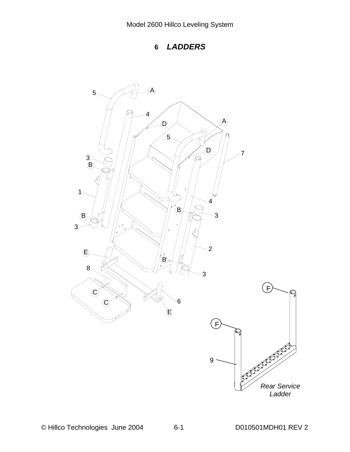

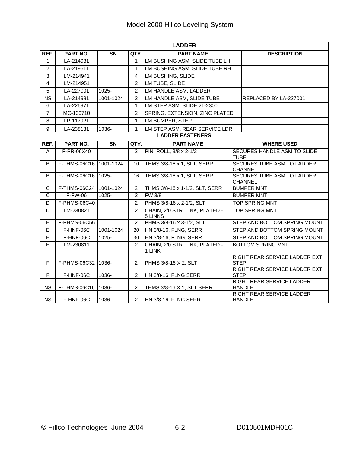|                       | <b>LADDER</b>          |                        |                      |                                           |                                                     |  |  |  |  |  |
|-----------------------|------------------------|------------------------|----------------------|-------------------------------------------|-----------------------------------------------------|--|--|--|--|--|
| REF.                  | PART NO.               | SN                     | QTY.                 | <b>PART NAME</b>                          | <b>DESCRIPTION</b>                                  |  |  |  |  |  |
| $\mathbf{1}$          | LA-214931              |                        | $\mathbf{1}$         | LM BUSHING ASM, SLIDE TUBE LH             |                                                     |  |  |  |  |  |
| $\overline{2}$        | LA-219511              |                        | $\mathbf{1}$         | LM BUSHING ASM, SLIDE TUBE RH             |                                                     |  |  |  |  |  |
| $\overline{3}$        | LM-214941              |                        | 4                    | LM BUSHING, SLIDE                         |                                                     |  |  |  |  |  |
| $\overline{4}$        | LM-214951              |                        | $\overline{2}$       | LM TUBE, SLIDE                            |                                                     |  |  |  |  |  |
| $\overline{5}$        | LA-227001              | $1025 -$               | $\overline{2}$       | LM HANDLE ASM, LADDER                     |                                                     |  |  |  |  |  |
| <b>NS</b>             | LA-214981              | 1001-1024              | $\overline{2}$       | LM HANDLE ASM, SLIDE TUBE                 | REPLACED BY LA-227001                               |  |  |  |  |  |
| 6                     | LA-226971              |                        | $\mathbf{1}$         | LM STEP ASM, SLIDE 21-2300                |                                                     |  |  |  |  |  |
| $\overline{7}$        | MC-100710              |                        | 2                    | SPRING, EXTENSION, ZINC PLATED            |                                                     |  |  |  |  |  |
| 8                     | LP-117921              |                        | $\mathbf{1}$         | LM BUMPER, STEP                           |                                                     |  |  |  |  |  |
| 9                     | LA-238131              | 1036-                  | 1                    | LM STEP ASM, REAR SERVICE LDR             |                                                     |  |  |  |  |  |
|                       |                        |                        |                      | <b>LADDER FASTENERS</b>                   |                                                     |  |  |  |  |  |
| REF.                  | PART NO.               | $\overline{\text{SN}}$ | QTY.                 | <b>PART NAME</b>                          | <b>WHERE USED</b>                                   |  |  |  |  |  |
| A                     | F-PR-06X40             |                        | $\mathcal{P}$        | PIN, ROLL, 3/8 x 2-1/2                    | SECURES HANDLE ASM TO SLIDE<br><b>TUBE</b>          |  |  |  |  |  |
| B                     | F-THMS-06C16 1001-1024 |                        | 10                   | THMS 3/8-16 x 1, SLT, SERR                | <b>SECURES TUBE ASM TO LADDER</b><br><b>CHANNEL</b> |  |  |  |  |  |
| B                     | F-THMS-06C16 1025-     |                        | 16                   | THMS 3/8-16 x 1, SLT, SERR                | <b>SECURES TUBE ASM TO LADDER</b><br><b>CHANNEL</b> |  |  |  |  |  |
| $\mathsf C$           | F-THMS-06C24 1001-1024 |                        | $\overline{2}$       | THMS 3/8-16 x 1-1/2, SLT, SERR            | <b>BUMPER MNT</b>                                   |  |  |  |  |  |
| $\overline{\text{c}}$ | $F-FW-06$              | $1025 -$               | $\overline{c}$       | <b>FW 3/8</b>                             | <b>BUMPER MNT</b>                                   |  |  |  |  |  |
| D                     | F-PHMS-06C40           |                        | $\overline{2}$       | PHMS 3/8-16 x 2-1/2, SLT                  | <b>TOP SPRING MNT</b>                               |  |  |  |  |  |
| D                     | LM-230821              |                        | $\overline{2}$       | CHAIN, 2/0 STR. LINK, PLATED -<br>5 LINKS | TOP SPRING MNT                                      |  |  |  |  |  |
| E                     | F-PHMS-06C56           |                        | $\overline{2}$       | PHMS 3/8-16 x 3-1/2, SLT                  | STEP AND BOTTOM SPRING MOUNT                        |  |  |  |  |  |
| E                     | F-HNF-06C              | 1001-1024              | 20                   | HN 3/8-16, FLNG, SERR                     | STEP AND BOTTOM SPRING MOUNT                        |  |  |  |  |  |
| E                     | F-HNF-06C              | 1025-                  | 30                   | <b>HN 3/8-16, FLNG, SERR</b>              | STEP AND BOTTOM SPRING MOUNT                        |  |  |  |  |  |
| $\overline{E}$        | LM-230811              |                        | $\overline{2}$       | CHAIN, 2/0 STR. LINK, PLATED -<br>1 LINK  | <b>BOTTOM SPRING MNT</b>                            |  |  |  |  |  |
| F                     | F-PHMS-06C32  1036-    |                        | $\mathbf{2}^{\circ}$ | PHMS 3/8-16 X 2, SLT                      | RIGHT REAR SERVICE LADDER EXT<br><b>STEP</b>        |  |  |  |  |  |
| F                     | F-HNF-06C              | 1036-                  | $\overline{2}$       | HN 3/8-16, FLNG SERR                      | RIGHT REAR SERVICE LADDER EXT<br><b>STEP</b>        |  |  |  |  |  |
| <b>NS</b>             | F-THMS-06C16   1036-   |                        | $\overline{2}$       | THMS 3/8-16 X 1, SLT SERR                 | <b>RIGHT REAR SERVICE LADDER</b><br><b>HANDLE</b>   |  |  |  |  |  |
| <b>NS</b>             | F-HNF-06C              | 1036-                  | $\overline{2}$       | HN 3/8-16, FLNG SERR                      | RIGHT REAR SERVICE LADDER<br><b>HANDLE</b>          |  |  |  |  |  |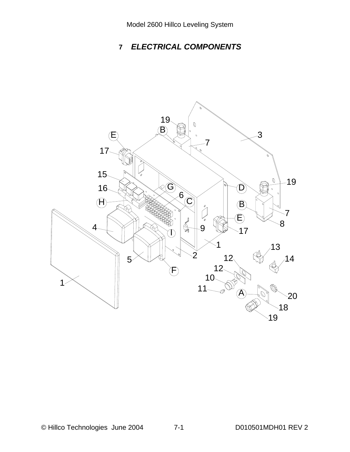# *ELECTRICAL COMPONENTS*

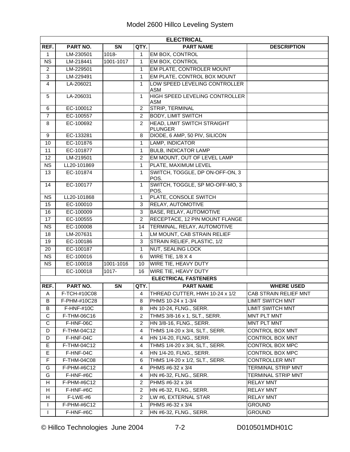|                        | <b>ELECTRICAL</b>       |           |                                |                                                     |                                   |  |  |  |  |  |
|------------------------|-------------------------|-----------|--------------------------------|-----------------------------------------------------|-----------------------------------|--|--|--|--|--|
| REF.                   | PART NO.                | SN        | QTY.                           | <b>PART NAME</b>                                    | <b>DESCRIPTION</b>                |  |  |  |  |  |
| 1                      | LM-230501               | $1018 -$  | 1                              | <b>EM BOX, CONTROL</b>                              |                                   |  |  |  |  |  |
| <b>NS</b>              | LM-218441               | 1001-1017 | $\mathbf{1}$                   | EM BOX, CONTROL                                     |                                   |  |  |  |  |  |
| $\overline{2}$         | LM-229501               |           | 1                              | EM PLATE, CONTROLER MOUNT                           |                                   |  |  |  |  |  |
| $\overline{3}$         | LM-229491               |           | $\mathbf{1}$                   | EM PLATE, CONTROL BOX MOUNT                         |                                   |  |  |  |  |  |
| 4                      | LA-206021               |           | $\mathbf{1}$                   | LOW SPEED LEVELING CONTROLLER<br><b>ASM</b>         |                                   |  |  |  |  |  |
| 5                      | LA-206031               |           | 1                              | <b>HIGH SPEED LEVELING CONTROLLER</b><br><b>ASM</b> |                                   |  |  |  |  |  |
| 6                      | EC-100012               |           | $\overline{2}$                 | <b>STRIP, TERMINAL</b>                              |                                   |  |  |  |  |  |
| $\overline{7}$         | EC-100557               |           | $\overline{c}$                 | <b>BODY, LIMIT SWITCH</b>                           |                                   |  |  |  |  |  |
| 8                      | EC-100692               |           | 2                              | HEAD, LIMIT SWITCH STRAIGHT<br><b>PLUNGER</b>       |                                   |  |  |  |  |  |
| 9                      | EC-133281               |           | 8                              | DIODE, 6 AMP, 50 PIV, SILICON                       |                                   |  |  |  |  |  |
| 10                     | EC-101876               |           | $\mathbf{1}$                   | LAMP, INDICATOR                                     |                                   |  |  |  |  |  |
| 11                     | EC-101877               |           | 1                              | <b>BULB, INDICATOR LAMP</b>                         |                                   |  |  |  |  |  |
| 12                     | LM-219501               |           | $\overline{2}$                 | EM MOUNT, OUT OF LEVEL LAMP                         |                                   |  |  |  |  |  |
| $\overline{\text{NS}}$ | LL20-101869             |           | $\mathbf{1}$                   | PLATE, MAXIMUM LEVEL                                |                                   |  |  |  |  |  |
| 13                     | EC-101874               |           | $\mathbf{1}$                   | SWITCH, TOGGLE, DP ON-OFF-ON, 3<br>POS.             |                                   |  |  |  |  |  |
| 14                     | EC-100177               |           | 1                              | SWITCH, TOGGLE, SP MO-OFF-MO, 3<br>POS.             |                                   |  |  |  |  |  |
| <b>NS</b>              | LL20-101868             |           | $\mathbf{1}$                   | PLATE, CONSOLE SWITCH                               |                                   |  |  |  |  |  |
| 15                     | EC-100010               |           | 3                              | <b>RELAY, AUTOMOTIVE</b>                            |                                   |  |  |  |  |  |
| 16                     | EC-100009               |           | $\mathbf{3}$                   | <b>BASE, RELAY, AUTOMOTIVE</b>                      |                                   |  |  |  |  |  |
| 17                     | EC-100555               |           | 2                              | RECEPTACE, 12 PIN MOUNT FLANGE                      |                                   |  |  |  |  |  |
| $\overline{\text{NS}}$ | EC-100008               |           | 14                             | TERMINAL, RELAY, AUTOMOTIVE                         |                                   |  |  |  |  |  |
| 18                     | LM-207631               |           | $\mathbf{1}$                   | LM MOUNT, CAB STRAIN RELIEF                         |                                   |  |  |  |  |  |
| 19                     | EC-100186               |           | 3                              | STRAIN RELIEF, PLASTIC, 1/2                         |                                   |  |  |  |  |  |
| 20                     | EC-100187               |           | $\mathbf{1}$                   | NUT, SEALING LOCK                                   |                                   |  |  |  |  |  |
| $\overline{\text{NS}}$ | EC-100016               |           | 6                              | WIRE TIE, 1/8 X 4                                   |                                   |  |  |  |  |  |
| <b>NS</b>              | EC-100018               | 1001-1016 | 10                             | <b>WIRE TIE, HEAVY DUTY</b>                         |                                   |  |  |  |  |  |
|                        | EC-100018               | $1017 -$  | 16                             | <b>WIRE TIE, HEAVY DUTY</b>                         |                                   |  |  |  |  |  |
|                        |                         |           |                                | <b>ELECTRICAL FASTENERS</b>                         |                                   |  |  |  |  |  |
| REF.                   | <b>PART NO.</b>         | SN        | QTY.                           | <b>PART NAME</b>                                    | <b>WHERE USED</b>                 |  |  |  |  |  |
| $\mathsf A$            | F-TCH-#10C08            |           | $\overline{4}$                 | THREAD CUTTER, HWH 10-24 x 1/2                      | CAB STRAIN RELIEF MNT             |  |  |  |  |  |
| В                      | F-PHM-#10C28            |           | 8                              | PHMS 10-24 x 1-3/4                                  | <b>LIMIT SWITCH MNT</b>           |  |  |  |  |  |
| B                      | F-HNF-#10C              |           | 8                              | HN 10-24, FLNG., SERR.                              | <b>LIMIT SWITCH MNT</b>           |  |  |  |  |  |
| C                      | F-THM-06C16             |           | $\sqrt{2}$                     | THMS 3/8-16 x 1, SLT., SERR.                        | MNT PLT MNT                       |  |  |  |  |  |
| C                      | F-HNF-06C               |           | $\overline{c}$                 | HN 3/8-16, FLNG., SERR.                             | <b>MNT PLT MNT</b>                |  |  |  |  |  |
| D                      | F-THM-04C12             |           | 4                              | THMS 1/4-20 x 3/4, SLT., SERR.                      | <b>CONTROL BOX MNT</b>            |  |  |  |  |  |
| D                      | F-HNF-04C               |           | $\overline{4}$                 | HN 1/4-20, FLNG., SERR.                             | CONTROL BOX MNT                   |  |  |  |  |  |
| Е                      | F-THM-04C12             |           | 4                              | THMS 1/4-20 x 3/4, SLT., SERR.                      | CONTROL BOX MPC                   |  |  |  |  |  |
| Е                      | F-HNF-04C               |           | 4                              | HN 1/4-20, FLNG., SERR.                             | CONTROL BOX MPC                   |  |  |  |  |  |
| $\overline{F}$         | F-THM-04C08             |           | 6                              | THMS 1/4-20 x 1/2, SLT., SERR.                      | <b>CONTROLLER MNT</b>             |  |  |  |  |  |
| G                      | F-PHM-#6C12             |           | $\overline{4}$                 | PHMS #6-32 x 3/4                                    | TERMINAL STRIP MNT                |  |  |  |  |  |
| G                      | F-HNF-#6C               |           | 4                              | HN #6-32, FLNG., SERR.                              | TERMINAL STRIP MNT                |  |  |  |  |  |
| Н                      | F-PHM-#6C12             |           | $\overline{c}$                 | PHMS #6-32 x 3/4                                    | <b>RELAY MNT</b>                  |  |  |  |  |  |
| Н                      | F-HNF-#6C               |           | $\overline{c}$                 | HN #6-32, FLNG., SERR.                              | <b>RELAY MNT</b>                  |  |  |  |  |  |
| H                      | F-LWE-#6<br>F-PHM-#6C12 |           | $\overline{2}$<br>$\mathbf{1}$ | LW #6, EXTERNAL STAR<br>PHMS #6-32 x 3/4            | <b>RELAY MNT</b><br><b>GROUND</b> |  |  |  |  |  |
| $\mathbf{I}$<br>L      | F-HNF-#6C               |           | $\overline{2}$                 | HN #6-32, FLNG., SERR.                              | <b>GROUND</b>                     |  |  |  |  |  |
|                        |                         |           |                                |                                                     |                                   |  |  |  |  |  |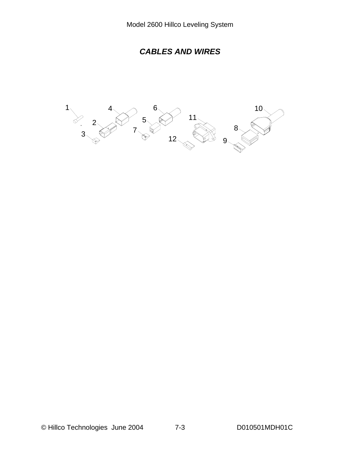

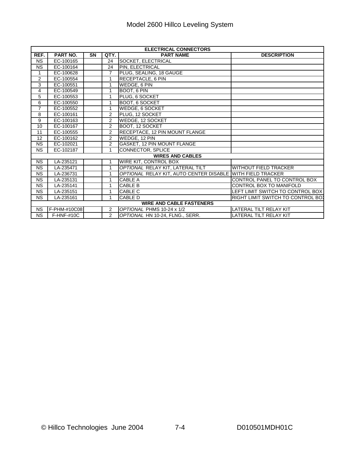|                        | <b>ELECTRICAL CONNECTORS</b> |           |                |                                         |                                   |  |  |  |  |
|------------------------|------------------------------|-----------|----------------|-----------------------------------------|-----------------------------------|--|--|--|--|
| REF.                   | PART NO.                     | <b>SN</b> | QTY.           | <b>PART NAME</b>                        | <b>DESCRIPTION</b>                |  |  |  |  |
| <b>NS</b>              | EC-100165                    |           | 24             | SOCKET, ELECTRICAL                      |                                   |  |  |  |  |
| <b>NS</b>              | EC-100164                    |           | 24             | PIN, ELECTRICAL                         |                                   |  |  |  |  |
| 1                      | EC-100628                    |           | $\overline{7}$ | PLUG, SEALING, 18 GAUGE                 |                                   |  |  |  |  |
| $\overline{2}$         | EC-100554                    |           | 1              | <b>RECEPTACLE, 6 PIN</b>                |                                   |  |  |  |  |
| 3                      | EC-100551                    |           | 1              | WEDGE, 6 PIN                            |                                   |  |  |  |  |
| 4                      | EC-100549                    |           | 1              | BOOT, 6 PIN                             |                                   |  |  |  |  |
| 5                      | EC-100553                    |           | 1              | PLUG, 6 SOCKET                          |                                   |  |  |  |  |
| 6                      | EC-100550                    |           | 1              | BOOT, 6 SOCKET                          |                                   |  |  |  |  |
| 7                      | EC-100552                    |           | 1              | WEDGE, 6 SOCKET                         |                                   |  |  |  |  |
| 8                      | EC-100161                    |           | $\overline{2}$ | PLUG, 12 SOCKET                         |                                   |  |  |  |  |
| 9                      | EC-100163                    |           | 2              | WEDGE, 12 SOCKET                        |                                   |  |  |  |  |
| 10                     | EC-100167                    |           | 2              | BOOT, 12 SOCKET                         |                                   |  |  |  |  |
| 11                     | EC-100555                    |           | $\mathcal{P}$  | RECEPTACE, 12 PIN MOUNT FLANGE          |                                   |  |  |  |  |
| 12                     | EC-100162                    |           | $\overline{2}$ | WEDGE, 12 PIN                           |                                   |  |  |  |  |
| $\overline{\text{NS}}$ | EC-102021                    |           | $\mathcal{P}$  | GASKET, 12 PIN MOUNT FLANGE             |                                   |  |  |  |  |
| <b>NS</b>              | EC-102187                    |           | 1              | <b>CONNECTOR, SPLICE</b>                |                                   |  |  |  |  |
|                        |                              |           |                | <b>WIRES AND CABLES</b>                 |                                   |  |  |  |  |
| <b>NS</b>              | LA-235121                    |           | 1              | WIRE KIT, CONTROL BOX                   |                                   |  |  |  |  |
| <b>NS</b>              | LA-235471                    |           | 1              | OPTIONAL RELAY KIT, LATERAL TILT        | <b>WITHOUT FIELD TRACKER</b>      |  |  |  |  |
| <b>NS</b>              | LA-236731                    |           | 1              | OPTIONAL RELAY KIT, AUTO CENTER DISABLE | <b>WITH FIELD TRACKER</b>         |  |  |  |  |
| <b>NS</b>              | LA-235131                    |           | 1              | CABLE A                                 | CONTROL PANEL TO CONTROL BOX      |  |  |  |  |
| <b>NS</b>              | LA-235141                    |           | 1              | <b>CABLE B</b>                          | CONTROL BOX TO MANIFOLD           |  |  |  |  |
| <b>NS</b>              | LA-235151                    |           | 1              | <b>CABLE C</b>                          | LEFT LIMIT SWITCH TO CONTROL BOX  |  |  |  |  |
| <b>NS</b>              | LA-235161                    |           | 1              | CABLE D                                 | RIGHT LIMIT SWITCH TO CONTROL BOJ |  |  |  |  |
|                        |                              |           |                | <b>WIRE AND CABLE FASTENERS</b>         |                                   |  |  |  |  |
| <b>NS</b>              | F-PHM-#10C08                 |           | 2              | OPTIONAL PHMS 10-24 x 1/2               | <b>LATERAL TILT RELAY KIT</b>     |  |  |  |  |
| <b>NS</b>              | $F-HNF-#10C$                 |           | $\overline{2}$ | OPTIONAL HN 10-24, FLNG., SERR.         | <b>LATERAL TILT RELAY KIT</b>     |  |  |  |  |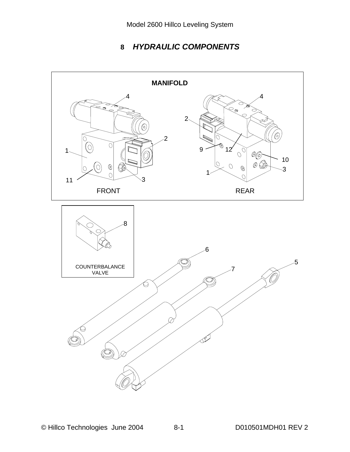# *HYDRAULIC COMPONENTS*

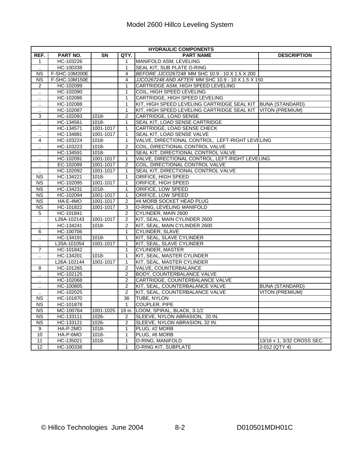|                        | <b>HYDRAULIC COMPONENTS</b> |                     |                |                                                             |                            |  |  |  |  |
|------------------------|-----------------------------|---------------------|----------------|-------------------------------------------------------------|----------------------------|--|--|--|--|
| REF.                   | PART NO.                    | <b>SN</b>           | QTY.           | <b>PART NAME</b>                                            | <b>DESCRIPTION</b>         |  |  |  |  |
| 1                      | HC-103226                   |                     | $\mathbf 1$    | MANIFOLD ASM, LEVELING                                      |                            |  |  |  |  |
|                        | HC-100338                   |                     | 1              | <b>SEAL KIT, SUB PLATE O-RING</b>                           |                            |  |  |  |  |
| <b>NS</b>              | F-SHC-10M200E               |                     | 4              | BEFORE JJCO267248 MM SHC 10.9 - 10 X 1.5 X 200              |                            |  |  |  |  |
| <b>NS</b>              | F-SHC-10M150E               |                     | 4              | JJCO267248 AND AFTER MM SHC 10.9 - 10 X 1.5 X 150           |                            |  |  |  |  |
| $\overline{2}$         | HC-102099                   |                     | 1              | CARTRIDGE ASM, HIGH SPEED LEVELING                          |                            |  |  |  |  |
| ٠.                     | HC-102090                   |                     | 1              | COIL, HIGH SPEED LEVELING                                   |                            |  |  |  |  |
| ٠.                     | HC-102086                   |                     | 1              | CARTRIDGE, HIGH SPEED LEVELING                              |                            |  |  |  |  |
| ٠.                     | HC-102088                   |                     | 1              | KIT, HIGH SPEED LEVELING CARTRIDGE SEAL KIT BUNA (STANDARD) |                            |  |  |  |  |
|                        | HC-102087                   |                     | $\mathbf{1}$   | KIT, HIGH SPEED LEVELING CARTRIDGE SEAL KIT VITON (PREMIUM) |                            |  |  |  |  |
| 3                      | HC-102093                   | 1018-               | 2              | CARTRIDGE, LOAD SENSE                                       |                            |  |  |  |  |
| $\ddot{\phantom{1}}$   | HC-134561                   | 1018-               | 1              | SEAL KIT, LOAD SENSE CARTRIDGE                              |                            |  |  |  |  |
| $\cdot$ .              | HC-134571                   | 1001-1017           | $\mathbf 1$    | CARTRIDGE, LOAD SENSE CHECK                                 |                            |  |  |  |  |
|                        | HC-134881                   | 1001-1017           | $\mathbf{1}$   | SEAL KIT, LOAD SENSE VALVE                                  |                            |  |  |  |  |
| 4                      | HC-103224                   | 1018-               | $\mathbf{1}$   | VALVE, DIRECTIONAL CONTROL, LEFT-RIGHT LEVELING             |                            |  |  |  |  |
| $\ddot{\phantom{1}}$   | HC-103223                   | 1018-               | $\overline{2}$ | COIL, DIRECTIONAL CONTROL VALVE                             |                            |  |  |  |  |
| $\sim$                 | HC-134591                   | 1018-               | 1              | SEAL KIT, DIRECTIONAL CONTROL VALVE                         |                            |  |  |  |  |
|                        | HC-102091                   | 1001-1017           | $\mathbf{1}$   | VALVE, DIRECTIONAL CONTROL, LEFT-RIGHT LEVELING             |                            |  |  |  |  |
| ٠.                     | EC-102089                   | 1001-1017           | $\overline{2}$ | COIL, DIRECTIONAL CONTROL VALVE                             |                            |  |  |  |  |
|                        | HC-102092                   | 1001-1017           | $\mathbf 1$    | SEAL KIT, DIRECTIONAL CONTROL VALVE                         |                            |  |  |  |  |
| <b>NS</b>              | HC-134221                   | $\overline{1018}$ - | $\mathbf{1}$   | ORIFICE, HIGH SPEED                                         |                            |  |  |  |  |
| <b>NS</b>              | HC-102095                   | 1001-1017           | $\mathbf 1$    | ORIFICE, HIGH SPEED                                         |                            |  |  |  |  |
| N <sub>S</sub>         | HC-134231                   | 1018-               | $\mathbf{1}$   | <b>ORIFICE, LOW SPEED</b>                                   |                            |  |  |  |  |
| <b>NS</b>              | HC-102094                   | 1001-1017           | $\mathbf{1}$   | <b>ORIFICE, LOW SPEED</b>                                   |                            |  |  |  |  |
| <b>NS</b>              | HA-E-4MO                    | 1001-1017           | 2              | #4 MORB SOCKET HEAD PLUG                                    |                            |  |  |  |  |
| $\overline{\text{NS}}$ | HC-101822                   | 1001-1017           | 3              | O-RING, LEVELING MANIFOLD                                   |                            |  |  |  |  |
| 5                      | HC-101841                   |                     | $\overline{2}$ | CYLINDER, MAIN 2600                                         |                            |  |  |  |  |
| $\ddot{\phantom{1}}$   | L26A-102143                 | 1001-1017           | 2              | KIT, SEAL, MAIN CYLINDER 2600                               |                            |  |  |  |  |
|                        | HC-134241                   | 1018-               | $\overline{2}$ | KIT, SEAL, MAIN CYLINDER 2600                               |                            |  |  |  |  |
| 6                      | HC-100706                   |                     | $\mathbf 1$    | <b>CYLINDER, SLAVE</b>                                      |                            |  |  |  |  |
| ٠.                     | HC-134191                   | 1018-               | 1              | KIT, SEAL, SLAVE CYLINDER                                   |                            |  |  |  |  |
|                        | L20A-101054                 | 1001-1017           | $\mathbf{1}$   | KIT, SEAL, SLAVE CYLINDER                                   |                            |  |  |  |  |
| $\overline{7}$         | HC-101842                   |                     | $\mathbf{1}$   | <b>CYLINDER, MASTER</b>                                     |                            |  |  |  |  |
| $\ddotsc$              | HC-134201                   | 1018-               | $\mathbf{1}$   | KIT, SEAL, MASTER CYLINDER                                  |                            |  |  |  |  |
|                        | L26A-102144                 | 1001-1017           | $\mathbf 1$    | KIT, SEAL, MASTER CYLINDER                                  |                            |  |  |  |  |
| 8                      | HC-101265                   |                     | 2              | VALVE, COUNTERBALANCE                                       |                            |  |  |  |  |
| $\cdot$ .              | HC-102125                   |                     | 2              | <b>BODY, COUNTERBALANCE VALVE</b>                           |                            |  |  |  |  |
| $\ddot{\phantom{1}}$   | HC-102068                   |                     | 2              | CARTRIDGE, COUNTERBALANCE VALVE                             |                            |  |  |  |  |
| $\sim$                 | HC-100805                   |                     | $\overline{2}$ | KIT, SEAL, COUNTERBALANCE VALVE                             | <b>BUNA (STANDARD)</b>     |  |  |  |  |
|                        | HC-102025                   |                     | 2              | KIT, SEAL, COUNTERBALANCE VALVE                             | <b>VITON (PREMIUM)</b>     |  |  |  |  |
| <b>NS</b>              | HC-101870                   |                     | 36             | TUBE, NYLON                                                 |                            |  |  |  |  |
| NS.                    | HC-101878                   |                     | 1              | COUPLER, PIPE                                               |                            |  |  |  |  |
| $\overline{\text{NS}}$ | MC-100764                   | 1001-1025           |                | 18 in. LOOM, SPIRAL, BLACK, 3-1/2                           |                            |  |  |  |  |
| $\overline{\text{NS}}$ | HC-133111                   | 1026-               | $\overline{2}$ | SLEEVE, NYLON ABRASION, 20 IN.                              |                            |  |  |  |  |
| <b>NS</b>              | HC-133121                   | 1026-               | 2              | SLEEVE, NYLON ABRASION, 32 IN.                              |                            |  |  |  |  |
| 9                      | HA-P-2MO                    | 1018-               | $\mathbf{1}$   | PLUG, #2 MORB                                               |                            |  |  |  |  |
| 10                     | HA-P-6MO                    | $1018 -$            | 1              | PLUG, #6 MORB                                               |                            |  |  |  |  |
| $\overline{11}$        | HC-135021                   | 1018-               | 1              | O-RING, MANIFOLD                                            | 13/16 x 1, 3/32 CROSS SEC. |  |  |  |  |
| 12                     | HC-100338                   |                     | 1              | <b>O-RING KIT, SUBPLATE</b>                                 | $2-012$ (QTY 4)            |  |  |  |  |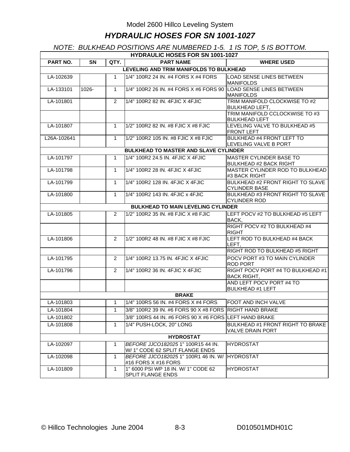#### Model 2600 Hillco Leveling System

#### *HYDRAULIC HOSES FOR SN 1001-1027*

*NOTE: BULKHEAD POSITIONS ARE NUMBERED 1-5. 1 IS TOP, 5 IS BOTTOM.* 

| <b>HYDRAULIC HOSES FOR SN 1001-1027</b> |                                         |                |                                                                      |                                                                |  |  |  |  |  |  |
|-----------------------------------------|-----------------------------------------|----------------|----------------------------------------------------------------------|----------------------------------------------------------------|--|--|--|--|--|--|
| PART NO.                                | <b>SN</b>                               | QTY.           | <b>PART NAME</b>                                                     | <b>WHERE USED</b>                                              |  |  |  |  |  |  |
|                                         | LEVELING AND TRIM MANIFOLDS TO BULKHEAD |                |                                                                      |                                                                |  |  |  |  |  |  |
| LA-102639                               |                                         | $\mathbf{1}$   | 1/4" 100R2 24 IN. #4 FORS X #4 FORS                                  | <b>LOAD SENSE LINES BETWEEN</b><br><b>MANIFOLDS</b>            |  |  |  |  |  |  |
| LA-133101                               | 1026-                                   | $\mathbf{1}$   | 1/4" 100R2 26 IN. #4 FORS X #6 FORS 90 LOAD SENSE LINES BETWEEN      | <b>MANIFOLDS</b>                                               |  |  |  |  |  |  |
| LA-101801                               |                                         | 2              | 1/4" 100R2 82 IN. 4FJIC X 4FJIC                                      | TRIM MANIFOLD CLOCKWISE TO #2<br><b>BULKHEAD LEFT,</b>         |  |  |  |  |  |  |
|                                         |                                         |                |                                                                      | TRIM MANIFOLD CCLOCKWISE TO #3<br><b>BULKHEAD LEFT</b>         |  |  |  |  |  |  |
| LA-101807                               |                                         | $\mathbf{1}$   | 1/2" 100R2 82 IN. #8 FJIC X #8 FJIC                                  | LEVELING VALVE TO BULKHEAD #5<br><b>FRONT LEFT</b>             |  |  |  |  |  |  |
| L26A-102641                             |                                         | $\mathbf{1}$   | 1/2" 100R2 105 IN. #8 FJIC X #8 FJIC                                 | <b>BULKHEAD #4 FRONT LEFT TO</b><br>LEVELING VALVE B PORT      |  |  |  |  |  |  |
|                                         |                                         |                | <b>BULKHEAD TO MASTER AND SLAVE CYLINDER</b>                         |                                                                |  |  |  |  |  |  |
| LA-101797                               |                                         | $\mathbf{1}$   | 1/4" 100R2 24.5 IN. 4FJIC X 4FJIC                                    | MASTER CYLINDER BASE TO<br><b>BULKHEAD #2 BACK RIGHT</b>       |  |  |  |  |  |  |
| LA-101798                               |                                         | $\mathbf{1}$   | 1/4" 100R2 28 IN. 4FJIC X 4FJIC                                      | MASTER CYLINDER ROD TO BULKHEAD<br>#3 BACK RIGHT               |  |  |  |  |  |  |
| LA-101799                               |                                         | 1.             | 1/4" 100R2 128 IN. 4FJIC X 4FJIC                                     | BULKHEAD #2 FRONT RIGHT TO SLAVE<br><b>CYLINDER BASE</b>       |  |  |  |  |  |  |
| LA-101800                               |                                         | $\mathbf{1}$   | 1/4" 100R2 143 IN. 4FJIC x 4FJIC                                     | <b>BULKHEAD #3 FRONT RIGHT TO SLAVE</b><br><b>CYLINDER ROD</b> |  |  |  |  |  |  |
|                                         |                                         |                | <b>BULKHEAD TO MAIN LEVELING CYLINDER</b>                            |                                                                |  |  |  |  |  |  |
| LA-101805                               |                                         | $\mathcal{P}$  | 1/2" 100R2 35 IN. #8 FJIC X #8 FJIC                                  | LEFT POCV #2 TO BULKHEAD #5 LEFT<br>BACK,                      |  |  |  |  |  |  |
|                                         |                                         |                |                                                                      | RIGHT POCV #2 TO BULKHEAD #4<br><b>RIGHT</b>                   |  |  |  |  |  |  |
| LA-101806                               |                                         | $\mathcal{P}$  | 1/2" 100R2 48 IN. #8 FJIC X #8 FJIC                                  | LEFT ROD TO BULKHEAD #4 BACK<br>LEFT.                          |  |  |  |  |  |  |
|                                         |                                         |                |                                                                      | RIGHT ROD TO BULKHEAD #5 RIGHT                                 |  |  |  |  |  |  |
| LA-101795                               |                                         | $\overline{2}$ | 1/4" 100R2 13.75 IN. 4FJIC X 4FJIC                                   | POCV PORT #3 TO MAIN CYLINDER<br><b>ROD PORT</b>               |  |  |  |  |  |  |
| LA-101796                               |                                         | $\overline{2}$ | 1/4" 100R2 36 IN. 4FJIC X 4FJIC                                      | RIGHT POCV PORT #4 TO BULKHEAD #1<br><b>BACK RIGHT,</b>        |  |  |  |  |  |  |
|                                         |                                         |                |                                                                      | AND LEFT POCV PORT #4 TO<br><b>BULKHEAD #1 LEFT</b>            |  |  |  |  |  |  |
|                                         |                                         |                | <b>BRAKE</b>                                                         |                                                                |  |  |  |  |  |  |
| LA-101803                               |                                         | $\mathbf{1}$   | 1/4" 100RS 56 IN. #4 FORS X #4 FORS                                  | FOOT AND INCH VALVE                                            |  |  |  |  |  |  |
| LA-101804                               |                                         | 1              | 3/8" 100R2 39 IN. #6 FORS 90 X #8 FORS RIGHT HAND BRAKE              |                                                                |  |  |  |  |  |  |
| LA-101802                               |                                         |                | 3/8" 100RS 44 IN. #6 FORS 90 X #6 FORS LEFT HAND BRAKE               |                                                                |  |  |  |  |  |  |
| LA-101808                               |                                         | $\mathbf{1}$   | 1/4" PUSH-LOCK, 20" LONG                                             | BULKHEAD #1 FRONT RIGHT TO BRAKE<br><b>VALVE DRAIN PORT</b>    |  |  |  |  |  |  |
|                                         |                                         |                | <b>HYDROSTAT</b>                                                     |                                                                |  |  |  |  |  |  |
| LA-102097                               |                                         | $\mathbf{1}$   | BEFORE JJCO1820251" 100R15 44 IN.<br>W/ 1" CODE 62 SPLIT FLANGE ENDS | <b>HYDROSTAT</b>                                               |  |  |  |  |  |  |
| LA-102098                               |                                         | 1              | BEFORE JJCO1820251" 100R1 46 IN. W/<br>#16 FORS X #16 FORS           | <b>HYDROSTAT</b>                                               |  |  |  |  |  |  |
| LA-101809                               |                                         | $\mathbf{1}$   | 1" 6000 PSI WP 18 IN. W/ 1" CODE 62<br><b>SPLIT FLANGE ENDS</b>      | <b>HYDROSTAT</b>                                               |  |  |  |  |  |  |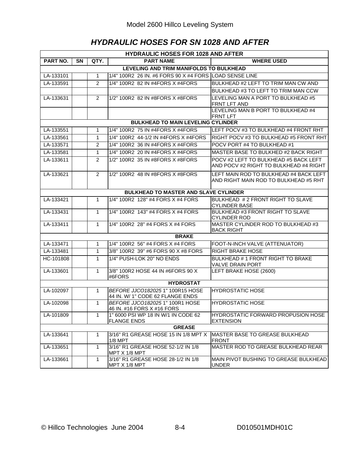# *HYDRAULIC HOSES FOR SN 1028 AND AFTER*

| <b>HYDRAULIC HOSES FOR 1028 AND AFTER</b> |           |                |                                                                      |                                                                                 |  |  |  |  |
|-------------------------------------------|-----------|----------------|----------------------------------------------------------------------|---------------------------------------------------------------------------------|--|--|--|--|
| PART NO.                                  | <b>SN</b> | QTY.           | <b>PART NAME</b>                                                     | <b>WHERE USED</b>                                                               |  |  |  |  |
|                                           |           |                | LEVELING AND TRIM MANIFOLDS TO BULKHEAD                              |                                                                                 |  |  |  |  |
| LA-133101                                 |           | $\mathbf{1}$   | 1/4" 100R2 26 IN. #6 FORS 90 X #4 FORS LOAD SENSE LINE               |                                                                                 |  |  |  |  |
| LA-133591                                 |           | 2              | 1/4" 100R2 82 IN #4FORS X #4FORS                                     | BULKHEAD #2 LEFT TO TRIM MAN CW AND                                             |  |  |  |  |
|                                           |           |                |                                                                      | BULKHEAD #3 TO LEFT TO TRIM MAN CCW                                             |  |  |  |  |
| LA-133631                                 |           | $\overline{2}$ | 1/2" 100R2 82 IN #8FORS X #8FORS                                     | LEVELING MAN A PORT TO BULKHEAD #5<br>FRNT LFT AND                              |  |  |  |  |
|                                           |           |                |                                                                      | LEVELING MAN B PORT TO BULKHEAD #4<br><b>FRNT LFT</b>                           |  |  |  |  |
|                                           |           |                | <b>BULKHEAD TO MAIN LEVELING CYLINDER</b>                            |                                                                                 |  |  |  |  |
| LA-133551                                 |           | $\mathbf 1$    | 1/4" 100R2 75 IN #4FORS X #4FORS                                     | LEFT POCV #3 TO BULKHEAD #4 FRONT RHT                                           |  |  |  |  |
| LA-133561                                 |           | $\mathbf{1}$   | 1/4" 100R2 44-1/2 IN #4FORS X #4FORS                                 | RIGHT POCV #3 TO BULKHEAD #5 FRONT RHT                                          |  |  |  |  |
| LA-133571                                 |           | $\overline{c}$ | 1/4" 100R2 36 IN #4FORS X #4FORS                                     | POCV PORT #4 TO BULKHEAD #1                                                     |  |  |  |  |
| LA-133581                                 |           | 1              | 1/4" 100R2 20 IN #4FORS X #4FORS                                     | MASTER BASE TO BULKHED #2 BACK RIGHT                                            |  |  |  |  |
| LA-133611                                 |           | 2              | 1/2" 100R2 35 IN #8FORS X #8FORS                                     | POCV #2 LEFT TO BULKHEAD #5 BACK LEFT<br>AND POCV #2 RIGHT TO BULKHEAD #4 RIGHT |  |  |  |  |
| LA-133621                                 |           | $\overline{2}$ | 1/2" 100R2 48 IN #8FORS X #8FORS                                     | LEFT MAIN ROD TO BULKHEAD #4 BACK LEFT<br>AND RIGHT MAIN ROD TO BULKHEAD #5 RHT |  |  |  |  |
|                                           |           |                | <b>BULKHEAD TO MASTER AND SLAVE CYLINDER</b>                         |                                                                                 |  |  |  |  |
| LA-133421                                 |           | $\mathbf{1}$   | 1/4" 100R2 128" #4 FORS X #4 FORS                                    | BULKHEAD # 2 FRONT RIGHT TO SLAVE<br><b>CYLINDER BASE</b>                       |  |  |  |  |
| LA-133431                                 |           | $\mathbf{1}$   | 1/4" 100R2 143" #4 FORS X #4 FORS                                    | BULKHEAD #3 FRONT RIGHT TO SLAVE<br><b>CYLINDER ROD</b>                         |  |  |  |  |
| LA-133411                                 |           | 1              | 1/4" 100R2 28" #4 FORS X #4 FORS                                     | MASTER CYLINDER ROD TO BULKHEAD #3<br><b>BACK RIGHT</b>                         |  |  |  |  |
|                                           |           |                | <b>BRAKE</b>                                                         |                                                                                 |  |  |  |  |
| LA-133471                                 |           | $\mathbf 1$    | 1/4" 100R2 56" #4 FORS X #4 FORS                                     | FOOT-N-INCH VALVE (ATTENUATOR)                                                  |  |  |  |  |
| LA-133481                                 |           | $\mathbf{1}$   | 3/8" 100R2 39" #6 FORS 90 X #8 FORS                                  | <b>RIGHT BRAKE HOSE</b>                                                         |  |  |  |  |
| HC-101808                                 |           | 1              | 1/4" PUSH-LOK 20" NO ENDS                                            | BULKHEAD # 1 FRONT RIGHT TO BRAKE<br><b>VALVE DRAIN PORT</b>                    |  |  |  |  |
| LA-133601                                 |           | $\mathbf{1}$   | 3/8" 100R2 HOSE 44 IN #6FORS 90 X<br>#6FORS                          | LEFT BRAKE HOSE (2600)                                                          |  |  |  |  |
|                                           |           |                | <b>HYDROSTAT</b>                                                     |                                                                                 |  |  |  |  |
| LA-102097                                 |           | 1              | BEFORE JJCO182025 1" 100R15 HOSE<br>44 IN. W/ 1" CODE 62 FLANGE ENDS | <b>HYDROSTATIC HOSE</b>                                                         |  |  |  |  |
| LA-102098                                 |           | 1              | BEFORE JJCO182025 1" 100R1 HOSE<br>46 IN. #16 FORS X #16 FORS        | <b>HYDROSTATIC HOSE</b>                                                         |  |  |  |  |
| LA-101809                                 |           | 1              | 1" 6000 PSI WP 18 IN W/1 IN CODE 62<br><b>FLANGE ENDS</b>            | <b>HYDROSTATIC FORWARD PROPUSION HOSE</b><br><b>EXTENSION</b>                   |  |  |  |  |
|                                           |           |                | <b>GREASE</b>                                                        |                                                                                 |  |  |  |  |
| LA-133641                                 |           | 1              | 3/16" R1 GREASE HOSE 15 IN 1/8 MPT X<br>1/8 MPT                      | <b>IMASTER BASE TO GREASE BULKHEAD</b><br><b>FRONT</b>                          |  |  |  |  |
| LA-133651                                 |           | $\mathbf 1$    | 3/16" R1 GREASE HOSE 52-1/2 IN 1/8<br>MPT X 1/8 MPT                  | MASTER ROD TO GREASE BULKHEAD REAR                                              |  |  |  |  |
| LA-133661                                 |           | $\mathbf{1}$   | 3/16" R1 GREASE HOSE 28-1/2 IN 1/8<br>MPT X 1/8 MPT                  | MAIN PIVOT BUSHING TO GREASE BULKHEAD<br><b>UNDER</b>                           |  |  |  |  |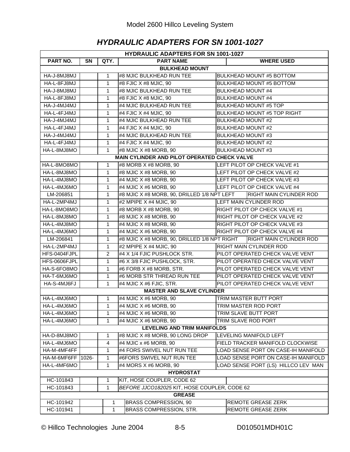# *HYDRAULIC ADAPTERS FOR SN 1001-1027*

| <b>HYDRAULIC ADAPTERS FOR SN 1001-1027</b>                      |       |                |                                              |                                |                                     |  |  |
|-----------------------------------------------------------------|-------|----------------|----------------------------------------------|--------------------------------|-------------------------------------|--|--|
| PART NO.<br>SN<br>QTY.<br><b>PART NAME</b><br><b>WHERE USED</b> |       |                |                                              |                                |                                     |  |  |
|                                                                 |       |                | <b>BULKHEAD MOUNT</b>                        |                                |                                     |  |  |
| HA-J-8MJ8MJ                                                     |       | $\mathbf{1}$   | #8 MJIC BULKHEAD RUN TEE                     |                                | BULKHEAD MOUNT #5 BOTTOM            |  |  |
| HA-L-8FJ8MJ                                                     |       | $\mathbf{1}$   | #8 FJIC X #8 MJIC, 90                        |                                | <b>BULKHEAD MOUNT #5 BOTTOM</b>     |  |  |
| LM8LM8-U-AH                                                     |       | $\mathbf{1}$   | #8 MJIC BULKHEAD RUN TEE                     |                                | <b>BULKHEAD MOUNT #4</b>            |  |  |
| HA-L-8FJ8MJ                                                     |       | $\mathbf{1}$   | #8 FJIC X #8 MJIC, 90                        |                                | <b>BULKHEAD MOUNT #4</b>            |  |  |
| HA-J-4MJ4MJ                                                     |       | 1              | #4 MJIC BULKHEAD RUN TEE                     |                                | <b>BULKHEAD MOUNT #5 TOP</b>        |  |  |
| HA-L-4FJ4MJ                                                     |       | $\mathbf{1}$   | #4 FJIC X #4 MJIC, 90                        |                                | BULKHEAD MOUNT #5 TOP RIGHT         |  |  |
| HA-J-4MJ4MJ                                                     |       | $\mathbf{1}$   | #4 MJIC BULKHEAD RUN TEE                     |                                | <b>BULKHEAD MOUNT #2</b>            |  |  |
| HA-L-4FJ4MJ                                                     |       | $\mathbf{1}$   | #4 FJIC X #4 MJIC, 90                        |                                | <b>BULKHEAD MOUNT #2</b>            |  |  |
| HA-J-4MJ4MJ                                                     |       | $\mathbf{1}$   | #4 MJIC BULKHEAD RUN TEE                     |                                | <b>BULKHEAD MOUNT #3</b>            |  |  |
| HA-L-4FJ4MJ                                                     |       | $\mathbf{1}$   | #4 FJIC $X$ #4 MJIC, 90                      |                                | <b>BULKHEAD MOUNT #2</b>            |  |  |
| HA-L-8MJ8MO                                                     |       | 1              | #8 MJIC X #8 MORB, 90                        |                                | <b>BULKHEAD MOUNT #3</b>            |  |  |
|                                                                 |       |                | MAIN CYLINDER AND PILOT OPERATED CHECK VALVE |                                |                                     |  |  |
| HA-L-8MO8MO                                                     |       | 1              | #8 MORB X #8 MORB, 90                        |                                | LEFT PILOT OP CHECK VALVE #1        |  |  |
| HA-L-8MJ8MO                                                     |       | 1              | #8 MJIC X #8 MORB, 90                        |                                | LEFT PILOT OP CHECK VALVE #2        |  |  |
| HA-L-4MJ8MO                                                     |       | $\mathbf{1}$   | #4 MJIC X #8 MORB, 90                        |                                | LEFT PILOT OP CHECK VALVE #3        |  |  |
| HA-L-4MJ6MO                                                     |       | $\mathbf{1}$   | #4 MJIC X #6 MORB, 90                        |                                | LEFT PILOT OP CHECK VALVE #4        |  |  |
| LM-206851                                                       |       | 1              | #8 MJIC X #8 MORB, 90, DRILLED 1/8 NPT LEFT  |                                | <b>RIGHT MAIN CYLINDER ROD</b>      |  |  |
| HA-L-2MP4MJ                                                     |       | $\mathbf{1}$   | #2 MPIPE X #4 MJIC, 90                       |                                | LEFT MAIN CYLINDER ROD              |  |  |
| HA-L-8MO8MO                                                     |       | $\mathbf{1}$   | #8 MORB X #8 MORB, 90                        |                                | RIGHT PILOT OP CHECK VALVE #1       |  |  |
| HA-L-8MJ8MO                                                     |       | $\mathbf{1}$   | #8 MJIC X #8 MORB, 90                        |                                | RIGHT PILOT OP CHECK VALVE #2       |  |  |
| HA-L-4MJ8MO                                                     |       | $\mathbf{1}$   | #4 MJIC X #8 MORB, 90                        |                                | RIGHT PILOT OP CHECK VALVE #3       |  |  |
| HA-L-4MJ6MO                                                     |       | $\mathbf{1}$   | #4 MJIC X #6 MORB, 90                        |                                | RIGHT PILOT OP CHECK VALVE #4       |  |  |
| LM-206841                                                       |       | 1              | #8 MJIC X #8 MORB, 90, DRILLED 1/8 NPT RIGHT | <b>RIGHT MAIN CYLINDER ROD</b> |                                     |  |  |
| HA-L-2MP4MJ                                                     |       | $\mathbf{1}$   | #2 MPIPE X #4 MJIC, 90                       |                                | RIGHT MAIN CYLINDER ROD             |  |  |
| HFS-0404FJPL                                                    |       | $\overline{2}$ | #4 X 1/4 FJIC PUSHLOCK STR.                  |                                | PILOT OPERATED CHECK VALVE VENT     |  |  |
| HFS-0606FJPL                                                    |       | 1              | #6 X 3/8 FJIC PUSHLOCK, STR.                 |                                | PILOT OPERATED CHECK VALVE VENT     |  |  |
| HA-S-6FO8MO                                                     |       | $\mathbf{1}$   | #6 FORB X #8 MORB, STR.                      |                                | PILOT OPERATED CHECK VALVE VENT     |  |  |
| HA-T-6MJ6MO                                                     |       | $\mathbf{1}$   | #6 MORB STR THREAD RUN TEE                   |                                | PILOT OPERATED CHECK VALVE VENT     |  |  |
| HA-S-4MJ6FJ                                                     |       | 1              | #4 MJIC X #6 FJIC, STR.                      |                                | PILOT OPERATED CHECK VALVE VENT     |  |  |
|                                                                 |       |                | <b>MASTER AND SLAVE CYLINDER</b>             |                                |                                     |  |  |
| HA-L-4MJ6MO                                                     |       | $\overline{1}$ | #4 MJIC X #6 MORB, 90                        |                                | TRIM MASTER BUTT PORT               |  |  |
| HA-L-4MJ6MO                                                     |       | $1 -$          | #4 MJIC X #6 MORB, 90                        |                                | TRIM MASTER ROD PORT                |  |  |
| HA-L-4MJ6MO                                                     |       | 1              | #4 MJIC X #6 MORB, 90                        |                                | TRIM SLAVE BUTT PORT                |  |  |
| HA-L-4MJ6MO                                                     |       | 1              | #4 MJIC X #6 MORB, 90                        |                                | TRIM SLAVE ROD PORT                 |  |  |
|                                                                 |       |                | <b>LEVELING AND TRIM MANIFOLDS</b>           |                                |                                     |  |  |
| HA-D-8MJ8MO                                                     |       | 1              | #8 MJIC X #8 MORB, 90 LONG DROP              |                                | LEVELING MANIFOLD LEFT              |  |  |
| HA-L-4MJ6MO                                                     |       | $\overline{4}$ | #4 MJIC x #6 MORB, 90                        |                                | FIELD TRACKER MANIFOLD CLOCKWISE    |  |  |
| HA-M-4MF4FF                                                     |       | 1              | #4 FORS SWIVEL NUT RUN TEE                   |                                | LOAD SENSE PORT ON CASE-IH MANIFOLD |  |  |
| HA-M-6MF6FF                                                     | 1026- | 1              | #6FORS SWIVEL NUT RUN TEE                    |                                | LOAD SENSE PORT ON CASE-IH MANIFOLD |  |  |
| HA-L-4MF6MO                                                     |       | 1              | #4 MORS X #6 MORB, 90                        |                                | LOAD SENSE PORT (LS) HILLCO LEV MAN |  |  |
|                                                                 |       |                | <b>HYDROSTAT</b>                             |                                |                                     |  |  |
| HC-101843                                                       |       | 1              | KIT, HOSE COUPLER, CODE 62                   |                                |                                     |  |  |
| HC-101843                                                       |       | 1              | BEFORE JJCO182025 KIT, HOSE COUPLER, CODE 62 |                                |                                     |  |  |
|                                                                 |       |                | <b>GREASE</b>                                |                                |                                     |  |  |
| HC-101942                                                       |       | 1              | BRASS COMPRESSION, 90                        |                                | REMOTE GREASE ZERK                  |  |  |
| HC-101941                                                       |       | 1              | BRASS COMPRESSION, STR.                      |                                | REMOTE GREASE ZERK                  |  |  |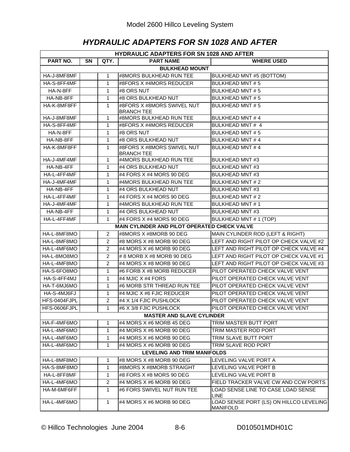# *HYDRAULIC ADAPTERS FOR SN 1028 AND AFTER*

| <b>HYDRAULIC ADAPTERS FOR SN 1028 AND AFTER</b> |           |                |                                                 |                                                            |  |  |  |  |
|-------------------------------------------------|-----------|----------------|-------------------------------------------------|------------------------------------------------------------|--|--|--|--|
| PART NO.                                        | <b>SN</b> | QTY.           | <b>PART NAME</b>                                | <b>WHERE USED</b>                                          |  |  |  |  |
|                                                 |           |                | <b>BULKHEAD MOUNT</b>                           |                                                            |  |  |  |  |
| HA-J-8MF8MF                                     |           | 1              | #8MORS BULKHEAD RUN TEE                         | BULKHEAD MNT #5 (BOTTOM)                                   |  |  |  |  |
| HA-S-8FF4MF                                     |           | 1              | #8FORS X #4MORS REDUCER                         | <b>BULKHEAD MNT#5</b>                                      |  |  |  |  |
| HA-N-8FF                                        |           | 1              | #8 ORS NUT                                      | <b>BULKHEAD MNT#5</b>                                      |  |  |  |  |
| HA-NB-8FF                                       |           | $\mathbf{1}$   | #8 ORS BULKHEAD NUT                             | <b>BULKHEAD MNT#5</b>                                      |  |  |  |  |
| HA-K-8MF8FF                                     |           | 1              | #8FORS X #8MORS SWIVEL NUT                      | <b>BULKHEAD MNT#5</b>                                      |  |  |  |  |
|                                                 |           |                | <b>BRANCH TEE</b>                               |                                                            |  |  |  |  |
| HA-J-8MF8MF                                     |           | $\mathbf{1}$   | #8MORS BULKHEAD RUN TEE                         | <b>BULKHEAD MNT#4</b>                                      |  |  |  |  |
| HA-S-8FF4MF                                     |           | 1              | #8FORS X #4MORS REDUCER                         | <b>BULKHEAD MNT#4</b>                                      |  |  |  |  |
| HA-N-8FF                                        |           | 1              | #8 ORS NUT                                      | <b>BULKHEAD MNT#5</b>                                      |  |  |  |  |
| HA-NB-8FF                                       |           | $\mathbf{1}$   | #8 ORS BULKHEAD NUT                             | <b>BULKHEAD MNT#4</b>                                      |  |  |  |  |
| HA-K-8MF8FF                                     |           | $\mathbf{1}$   | #8FORS X #8MORS SWIVEL NUT<br><b>BRANCH TEE</b> | <b>BULKHEAD MNT#4</b>                                      |  |  |  |  |
| HA-J-4MF4MF                                     |           | $\mathbf{1}$   | #4MORS BULKHEAD RUN TEE                         | <b>BULKHEAD MNT#3</b>                                      |  |  |  |  |
| HA-NB-4FF                                       |           | 1              | #4 ORS BULKHEAD NUT                             | <b>BULKHEAD MNT#3</b>                                      |  |  |  |  |
| HA-L-4FF4MF                                     |           | 1              | #4 FORS X #4 MORS 90 DEG                        | <b>BULKHEAD MNT#3</b>                                      |  |  |  |  |
| HA-J-4MF4MF                                     |           | $\mathbf{1}$   | #4MORS BULKHEAD RUN TEE                         | <b>BULKHEAD MNT #2</b>                                     |  |  |  |  |
| HA-NB-4FF                                       |           | $\mathbf{1}$   | #4 ORS BULKHEAD NUT                             | <b>BULKHEAD MNT#3</b>                                      |  |  |  |  |
| HA-L-4FF4MF                                     |           | 1              | #4 FORS X #4 MORS 90 DEG                        | <b>BULKHEAD MNT #2</b>                                     |  |  |  |  |
| HA-J-4MF4MF                                     |           | $\mathbf{1}$   | #4MORS BULKHEAD RUN TEE                         | <b>BULKHEAD MNT#1</b>                                      |  |  |  |  |
| HA-NB-4FF                                       |           | 1              | #4 ORS BULKHEAD NUT                             | <b>BULKHEAD MNT#3</b>                                      |  |  |  |  |
| HA-L-4FF4MF                                     |           | 1              | #4 FORS X #4 MORS 90 DEG                        | BULKHEAD MNT # 1 (TOP)                                     |  |  |  |  |
|                                                 |           |                | MAIN CYLINDER AND PILOT OPERATED CHECK VALVE    |                                                            |  |  |  |  |
| HA-L-8MF8MO                                     |           | $\overline{2}$ | #8MORS X #8MORB 90 DEG                          | MAIN CYLINDER ROD (LEFT & RIGHT)                           |  |  |  |  |
| HA-L-8MF8MO                                     |           | $\overline{2}$ | #8 MORS X #8 MORB 90 DEG                        | LEFT AND RIGHT PILOT OP CHECK VALVE #2                     |  |  |  |  |
| HA-L-4MF6MO                                     |           | $\overline{2}$ | #4 MORS X #6 MORB 90 DEG                        | LEFT AND RIGHT PILOT OP CHECK VALVE #4                     |  |  |  |  |
| HA-L-8MO8MO                                     |           | $\overline{c}$ | # 8 MORB X #8 MORB 90 DEG                       | LEFT AND RIGHT PILOT OP CHECK VALVE #1                     |  |  |  |  |
| HA-L-4MF8MO                                     |           | $\overline{2}$ | #4 MORS X #8 MORB 90 DEG                        | LEFT AND RIGHT PILOT OP CHECK VALVE #3                     |  |  |  |  |
| HA-S-6FO8MO                                     |           | $\mathbf{1}$   | #6 FORB X #8 MORB REDUCER                       | PILOT OPERATED CHECK VALVE VENT                            |  |  |  |  |
| HA-S-4FF4MJ                                     |           | $\mathbf{1}$   | #4 MJIC X #4 FORS                               | PILOT OPERATED CHECK VALVE VENT                            |  |  |  |  |
| HA-T-6MJ6MO                                     |           | 1              | #6 MORB STR THREAD RUN TEE                      | PILOT OPERATED CHECK VALVE VENT                            |  |  |  |  |
| HA-S-4MJ6FJ                                     |           | $\mathbf{1}$   | #4 MJIC X #6 FJIC REDUCER                       | PILOT OPERATED CHECK VALVE VENT                            |  |  |  |  |
| HFS-0404FJPL                                    |           | $\overline{2}$ | #4 X 1/4 FJIC PUSHLOCK                          | PILOT OPERATED CHECK VALVE VENT                            |  |  |  |  |
| HFS-0606FJPL                                    |           | 1              | ∣#6 X 3/8 FJIC PUSHLOCK                         | IPILOT OPERATED CHECK VALVE VENT                           |  |  |  |  |
|                                                 |           |                | <b>MASTER AND SLAVE CYLINDER</b>                |                                                            |  |  |  |  |
| HA-F-4MF6MO                                     |           | $\mathbf{1}$   | #4 MORS X #6 MORB 45 DEG                        | TRIM MASTER BUTT PORT                                      |  |  |  |  |
| HA-L-4MF6MO                                     |           | 1              | #4 MORS X #6 MORB 90 DEG                        | TRIM MASTER ROD PORT                                       |  |  |  |  |
| HA-L-4MF6MO                                     |           | $\mathbf{1}$   | #4 MORS X #6 MORB 90 DEG                        | TRIM SLAVE BUTT PORT                                       |  |  |  |  |
| HA-L-4MF6MO                                     |           | 1              | #4 MORS X #6 MORB 90 DEG                        | TRIM SLAVE ROD PORT                                        |  |  |  |  |
|                                                 |           |                | <b>LEVELING AND TRIM MANIFOLDS</b>              |                                                            |  |  |  |  |
| HA-L-8MF8MO                                     |           | $\mathbf{1}$   | #8 MORS X #8 MORB 90 DEG                        | LEVELING VALVE PORT A                                      |  |  |  |  |
| HA-S-8MF8MO                                     |           | 1              | #8MORS X #8MORB STRAIGHT                        | LEVELING VALVE PORT B                                      |  |  |  |  |
| HA-L-8FF8MF                                     |           | 1              | #8 FORS X #8 MORS 90 DEG                        | LEVELING VALVE PORT B                                      |  |  |  |  |
| HA-L-4MF6MO                                     |           | $\overline{c}$ | #4 MORS X #6 MORB 90 DEG                        | FIELD TRACKER VALVE CW AND CCW PORTS                       |  |  |  |  |
| HA-M-6MF6FF                                     |           | 1              | #6 FORS SWIVEL NUT RUN TEE                      | LOAD SENSE LINE TO CASE LOAD SENSE<br>LINE                 |  |  |  |  |
| HA-L-4MF6MO                                     |           | 1              | #4 MORS X #6 MORB 90 DEG                        | LOAD SENSE PORT (LS) ON HILLCO LEVELING<br><b>MANIFOLD</b> |  |  |  |  |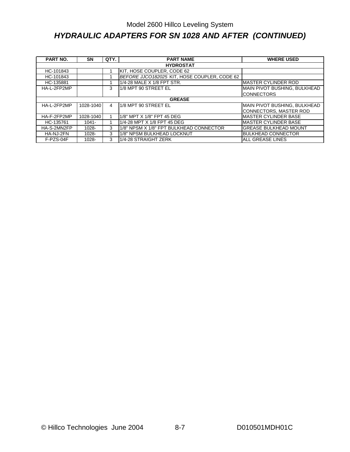# *HYDRAULIC ADAPTERS FOR SN 1028 AND AFTER (CONTINUED)*

| <b>PART NO.</b> | SN               | QTY. | <b>PART NAME</b>                             | <b>WHERE USED</b>             |  |  |  |  |  |
|-----------------|------------------|------|----------------------------------------------|-------------------------------|--|--|--|--|--|
|                 | <b>HYDROSTAT</b> |      |                                              |                               |  |  |  |  |  |
| HC-101843       |                  |      | KIT, HOSE COUPLER, CODE 62                   |                               |  |  |  |  |  |
| HC-101843       |                  |      | BEFORE JJCO182025 KIT, HOSE COUPLER, CODE 62 |                               |  |  |  |  |  |
| HC-135881       |                  |      | 1/4-28 MALE X 1/8 FPT STR.                   | <b>MASTER CYLINDER ROD</b>    |  |  |  |  |  |
| HA-L-2FP2MP     |                  | 3    | 1/8 MPT 90 STREET EL                         | MAIN PIVOT BUSHING, BULKHEAD  |  |  |  |  |  |
|                 |                  |      |                                              | <b>CONNECTORS</b>             |  |  |  |  |  |
|                 |                  |      | <b>GREASE</b>                                |                               |  |  |  |  |  |
| HA-L-2FP2MP     | 1028-1040        | 4    | 1/8 MPT 90 STREET EL                         | MAIN PIVOT BUSHING, BULKHEAD  |  |  |  |  |  |
|                 |                  |      |                                              | <b>CONNECTORS, MASTER ROD</b> |  |  |  |  |  |
| HA-F-2FP2MP     | 1028-1040        |      | 1/8" MPT X 1/8" FPT 45 DEG                   | <b>MASTER CYLINDER BASE</b>   |  |  |  |  |  |
| HC-135761       | $1041 -$         |      | 1/4-28 MPT X 1/8 FPT 45 DEG                  | <b>MASTER CYLINDER BASE</b>   |  |  |  |  |  |
| HA-S-2MN2FP     | $1028 -$         | 3    | 1/8" NPSM X 1/8" FPT BULKHEAD CONNECTOR      | <b>GREASE BULKHEAD MOUNT</b>  |  |  |  |  |  |
| HA-NJ-2FN       | $1028 -$         | 3    | 11/8" NPSM BULKHEAD LOCKNUT                  | <b>BULKHEAD CONNECTOR</b>     |  |  |  |  |  |
| F-PZS-04F       | $1028 -$         | 3    | 1/4-28 STRAIGHT ZERK                         | <b>ALL GREASE LINES</b>       |  |  |  |  |  |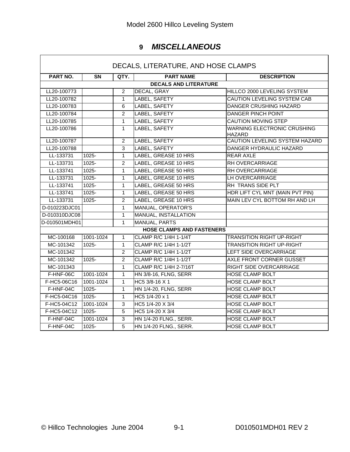# **9** *MISCELLANEOUS*

| DECALS, LITERATURE, AND HOSE CLAMPS |           |                |                                  |                                                     |  |  |  |  |  |
|-------------------------------------|-----------|----------------|----------------------------------|-----------------------------------------------------|--|--|--|--|--|
| PART NO.                            | <b>SN</b> | QTY.           | <b>PART NAME</b>                 | <b>DESCRIPTION</b>                                  |  |  |  |  |  |
| <b>DECALS AND LITERATURE</b>        |           |                |                                  |                                                     |  |  |  |  |  |
| LL20-100773                         |           | 2              | DECAL, GRAY                      | HILLCO 2000 LEVELING SYSTEM                         |  |  |  |  |  |
| LL20-100782                         |           | $\mathbf{1}$   | LABEL, SAFETY                    | <b>CAUTION LEVELING SYSTEM CAB</b>                  |  |  |  |  |  |
| LL20-100783                         |           | 6              | LABEL, SAFETY                    | DANGER CRUSHING HAZARD                              |  |  |  |  |  |
| LL20-100784                         |           | $\overline{2}$ | LABEL, SAFETY                    | <b>DANGER PINCH POINT</b>                           |  |  |  |  |  |
| LL20-100785                         |           | $\mathbf{1}$   | LABEL, SAFETY                    | <b>CAUTION MOVING STEP</b>                          |  |  |  |  |  |
| LL20-100786                         |           | $\mathbf{1}$   | LABEL, SAFETY                    | <b>WARNING ELECTRONIC CRUSHING</b><br><b>HAZARD</b> |  |  |  |  |  |
| LL20-100787                         |           | $\overline{c}$ | LABEL, SAFETY                    | CAUTION LEVELING SYSTEM HAZARD                      |  |  |  |  |  |
| LL20-100788                         |           | 3              | LABEL, SAFETY                    | DANGER HYDRAULIC HAZARD                             |  |  |  |  |  |
| LL-133731                           | 1025-     | $\mathbf{1}$   | LABEL, GREASE 10 HRS             | <b>REAR AXLE</b>                                    |  |  |  |  |  |
| LL-133731                           | 1025-     | 2              | LABEL, GREASE 10 HRS             | RH OVERCARRIAGE                                     |  |  |  |  |  |
| LL-133741                           | 1025-     | $\mathbf{1}$   | LABEL, GREASE 50 HRS             | RH OVERCARRIAGE                                     |  |  |  |  |  |
| LL-133731                           | 1025-     | $\mathbf{1}$   | LABEL, GREASE 10 HRS             | LH OVERCARRIAGE                                     |  |  |  |  |  |
| LL-133741                           | 1025-     | $\mathbf{1}$   | LABEL, GREASE 50 HRS             | RH TRANS SIDE PLT                                   |  |  |  |  |  |
| LL-133741                           | 1025-     | $\mathbf{1}$   | <b>LABEL, GREASE 50 HRS</b>      | HDR LIFT CYL MNT (MAIN PVT PIN)                     |  |  |  |  |  |
| LL-133731                           | 1025-     | $\overline{2}$ | LABEL, GREASE 10 HRS             | MAIN LEV CYL BOTTOM RH AND LH                       |  |  |  |  |  |
| D-010223DJC01                       |           | 1              | MANUAL, OPERATOR'S               |                                                     |  |  |  |  |  |
| D-010310DJC08                       |           | $\mathbf{1}$   | MANUAL, INSTALLATION             |                                                     |  |  |  |  |  |
| D-010501MDH01                       |           | $\mathbf{1}$   | MANUAL, PARTS                    |                                                     |  |  |  |  |  |
|                                     |           |                | <b>HOSE CLAMPS AND FASTENERS</b> |                                                     |  |  |  |  |  |
| MC-100168                           | 1001-1024 | 1              | <b>CLAMP R/C 1/4H 1-1/4T</b>     | <b>TRANSITION RIGHT UP-RIGHT</b>                    |  |  |  |  |  |
| MC-101342                           | $1025 -$  | $\mathbf{1}$   | CLAMP R/C 1/4H 1-1/2T            | <b>TRANSITION RIGHT UP-RIGHT</b>                    |  |  |  |  |  |
| MC-101342                           |           | $\overline{2}$ | CLAMP R/C 1/4H 1-1/2T            | LEFT SIDE OVERCARRIAGE                              |  |  |  |  |  |
| MC-101342                           | 1025-     | $\overline{2}$ | CLAMP R/C 1/4H 1-1/2T            | AXLE FRONT CORNER GUSSET                            |  |  |  |  |  |
| MC-101343                           |           | $\mathbf{1}$   | CLAMP R/C 1/4H 2-7/16T           | RIGHT SIDE OVERCARRIAGE                             |  |  |  |  |  |
| F-HNF-06C                           | 1001-1024 | $\mathbf{1}$   | <b>HN 3/8-16, FLNG, SERR</b>     | <b>HOSE CLAMP BOLT</b>                              |  |  |  |  |  |
| F-HC5-06C16                         | 1001-1024 | $\mathbf{1}$   | HC5 3/8-16 X 1                   | <b>HOSE CLAMP BOLT</b>                              |  |  |  |  |  |
| F-HNF-04C                           | 1025-     | $\mathbf{1}$   | HN 1/4-20, FLNG, SERR            | <b>HOSE CLAMP BOLT</b>                              |  |  |  |  |  |
| F-HC5-04C16                         | 1025-     | $\mathbf{1}$   | HC5 1/4-20 x 1                   | HOSE CLAMP BOLT                                     |  |  |  |  |  |
| F-HC5-04C12                         | 1001-1024 | 3              | HC5 1/4-20 X 3/4                 | <b>HOSE CLAMP BOLT</b>                              |  |  |  |  |  |
| F-HC5-04C12                         | 1025-     | 5              | HC5 1/4-20 X 3/4                 | <b>HOSE CLAMP BOLT</b>                              |  |  |  |  |  |
| F-HNF-04C                           | 1001-1024 | 3              | HN 1/4-20 FLNG., SERR.           | <b>HOSE CLAMP BOLT</b>                              |  |  |  |  |  |
| F-HNF-04C                           | $1025 -$  | $\overline{5}$ | HN 1/4-20 FLNG., SERR.           | <b>HOSE CLAMP BOLT</b>                              |  |  |  |  |  |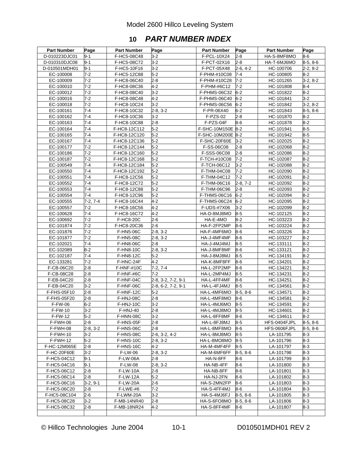### Model 2600 Hillco Leveling System

# **10** *PART NUMBER INDEX*

| <b>Part Number</b>      | Page               | <b>Part Number</b>     | Page                 | <b>Part Number</b>         | Page           | <b>Part Number</b>     | Page               |
|-------------------------|--------------------|------------------------|----------------------|----------------------------|----------------|------------------------|--------------------|
| D-010223DJC01           | 9-1                | F-HC5-08C48            | 3-2                  | F-PCL-10X24                | 2-8            | HA-S-8MF8MO            | 8-6                |
| D-010310DJC08           | $9 - 1$            | F-HC5-08C72            | $3 - 2$              | F-PCT-02X16                | $2 - 8$        | HA-T-6MJ6MO            | $8-5, 8-6$         |
| D-010501MDH01           | 9-1                | F-HC5-10F16            | $3-2$                | F-PCT-05X48                | 2-6, 4-2       | HC-100706              | $2-2, 8-2$         |
| EC-100008               | $7 - 2$            | F-HC5-12C88            | $5-2$                | F-PHM-#10C08               | 7-4            | HC-100805              | $8 - 2$            |
| EC-100009               | 7-2                | F-HC8-06C40            | 2-8                  | F-PHM-#10C28               | $7-2$          | HC-101265              | $3-2, 8-2$         |
| EC-100010               | $7 - 2$            | F-HC8-08C36            | $4 - 2$              | F-PHM-#6C12                | $7-2$          | HC-101808              | 8-4                |
| EC-100012               | $7-2$              | F-HC8-08C40            | $3-2$                | F-PHMS-06C32               | $6-2$          | HC-101822              | $8-2$              |
| EC-100016               | $7-2$              | F-HC8-08C48            | $4-2$                | F-PHMS-06C40               | $6-2$          | HC-101841              | $3-2$              |
| EC-100018               | 7-2                | F-HC8-10C24            | 3-2                  | F-PHMS-06C56               | $6-2$          | HC-101842              | $3-2, 8-2$         |
| EC-100161               | $7 - 4$            | F-HC8-10C32            | $2-8, 3-2$           | F-PR-06X40                 | $6-2$          | HC-101843              | 8-5, 8-6           |
| EC-100162               | $7 - 4$            | F-HC8-10C36            | 3-2                  | F-PZS-02                   | $2 - 8$        | HC-101870              | 8-2                |
| EC-100163               | $7 - 4$            | F-HC8-10C88            | 2-8                  | F-PZS-04F                  | 8-6            | HC-101878              | $8 - 2$            |
| EC-100164               | 7-4                | F-HC8-12C112           | $5-2$                | F-SHC-10M150E 8-2          |                | HC-101941              | $8-5$              |
| EC-100165               | $7 - 4$            | F-HC8-12C120           | $5-2$                | F-SHC-10M200E 8-2          |                | HC-101942              | $8-5$              |
| EC-100167               | $7 - 4$            | F-HC8-12C136           | $5-2$                | F-SHC-20F60E               | $3-2$          | HC-102025              | $8 - 2$            |
| EC-100177               | $7 - 2$            | F-HC8-12C144           | $5-2$                | F-SS-06C08                 | $2-8$          | HC-102068              | $8 - 2$            |
| EC-100186               | $7 - 2$            | F-HC8-12C160           | $5-2$                | F-SSS-06C08                | $2 - 8$        | HC-102086              | $8 - 2$            |
| EC-100187               | $7-2$              | F-HC8-12C168           | $5-2$                | F-TCH-#10C08               | $7 - 2$        | HC-102087              | $8 - 2$            |
| EC-100549               | $7 - 4$            | F-HC8-12C184           | $5-2$                | F-TCH-06C12                | $3 - 2$        | HC-102088              | $8 - 2$            |
| EC-100550               | $7 - 4$            | F-HC8-12C192           | $5-2$                | F-THM-04C08                | $7 - 2$        | HC-102090              | $8 - 2$            |
| EC-100551               | $7 - 4$            | F-HC8-12C56            | $5-2$                | F-THM-04C12                | 7-2            | HC-102091              | $8-2$              |
| EC-100552               | 7-4                | F-HC8-12C72            | $5-2$                | F-THM-06C16                | $2-8.7-2$      | HC-102092              | $8 - 2$            |
| EC-100553               | $7 - 4$            | F-HC8-12C88            | $5-2$                | F-THM-06C96                | 2-8            | HC-102093              | $8 - 2$            |
| EC-100554               | $7 - 4$            | F-HC8-12C96            | $5-2$                | F-THMS-06C16               | $6-2$          | HC-102094              | $8 - 2$            |
| EC-100555               | $7-2, 7-4$         | F-HC8-16C44            | $4-2$                | F-THMS-06C24               | $6-2$          | HC-102095              | $8 - 2$            |
| EC-100557               | 7-2                | F-HC8-16C56            | $4-2$                | F-UDS-#7X06                | $3 - 2$        | HC-102099              | $8 - 2$            |
| EC-100628               | $7 - 4$            | F-HC8-16C72            | $4-2$                | HA-D-8MJ8MO                | $8-5$          | HC-102125              | $8 - 2$            |
| EC-100692               | $7 - 2$            | F-HC8-20C              | $2-6$                | HA-E-4MO                   | $8 - 2$        | HC-103223              | $8 - 2$            |
| EC-101874               | $7-2$              | F-HC8-20C36            | $2-6$                | HA-F-2FP2MP                | $8-6$          | HC-103224              | $8-2$              |
| EC-101876               | 7-2                | F-HN5-06C              | 2-8, 3-2             | HA-F-4MF6MO                | 8-6            | HC-103226              | 8-2                |
| EC-101877               | $7-2$              | <b>F-HN5-08C</b>       | 2-8, 3-2             | HA-J-4MF4MF                | 8-6            | HC-103227              | $8 - 2$            |
| EC-102021               | $7 - 4$<br>$8 - 2$ | F-HN8-06C              | 2-8                  | HA-J-4MJ4MJ                | $8-5$          | HC-133111              | $8 - 2$<br>$8 - 2$ |
| EC-102089<br>EC-102187  | 7-4                | F-HN8-10C<br>F-HN8-12C | $2-8, 3-2$<br>$5-2$  | HA-J-8MF8MF<br>LM8LM8-U-AH | 8-6<br>$8 - 5$ | HC-133121<br>HC-134191 | $8 - 2$            |
|                         | $7 - 2$            | F-HNC-24F              | 4-2                  |                            |                |                        | $8-2$              |
| EC-133281<br>F-CB-06C20 | $2 - 8$            | F-HNF-#10C             | $7-2, 7-4$           | HA-K-8MF8FF<br>HA-L-2FP2MP | 8-6<br>8-6     | HC-134201<br>HC-134221 | $8 - 2$            |
| F-CB-08C28              | $2-8$              | F-HNF-#6C              | 7-2                  | HA-L-2MP4MJ                | 8-5            | HC-134231              | $8 - 2$            |
| F-EB-04C20              | 2-8                | F-HNF-04C              | 2-8, 3-2, 7-2, 9-1   | HA-L-4FF4MF                | 8-6            | HC-134251              | 8-2                |
| F-EB-04C20              | 3-2                | F-HNF-06C              | $2-8, 6-2, 7-2, 9-1$ | HA-L-4FJ4MJ                | 8-5            | HC-134561              | $8 - 2$            |
| F-FHS-05F10             | $2 - 8$            | F-HNF-12C              | 5-2                  | HA-L-4MF6MO                | $8-5.8-6$      | HC-134571              | $8 - 2$            |
| F-FHS-05F20             | $2 - 8$            | F-HNJ-08C              | $2 - 8$              | HA-L-4MF8MO                | 8-6            | HC-134581              | $8 - 2$            |
| <b>F-FW-06</b>          | 6-2                | F-HNJ-10C              | 3-2                  | HA-L-4MJ6MO                | $8-5$          | HC-134591              | 8-2                |
| <b>F-FW-10</b>          | $3 - 2$            | F-HNJ-40               | $2 - 8$              | HA-L-4MJ8MO                | 8-5            | HC-134601              | $8 - 2$            |
| <b>F-FW-12</b>          | $5-2$              | F-HNN-08C              | $3-2$                | HA-L-8FF8MF                | 8-6            | HC-134611              | $8 - 2$            |
| F-FWH-06                | 2-8                | F-HNS-05F              | 2-8                  | HA-L-8FJ8MJ                | 8-5            | HFS-0404FJPL           | 8-5, 8-6           |
| F-FWH-08                | $2-8, 3-2$         | F-HNS-06C              | 2-8                  | HA-L-8MF8MO                | 8-6            | HFS-0606FJPL           | $8-5, 8-6$         |
| F-FWH-10                | 3-2                | F-HNS-08C              | 2-6, 3-2, 4-2        | HA-L-8MJ8MO                | $8-5$          | LA-101795              | 8-3                |
| F-FWH-12                | 5-2                | F-HNS-10C              | 2-8, 3-2             | HA-L-8MO8MO                | 8-5            | LA-101796              | 8-3                |
| F-HC-12M065E            | $2 - 8$            | F-HNS-16C              | 4-2                  | HA-M-4MF4FF                | $8-5$          | LA-101797              | $8-3$              |
| F-HC-20F60E             | $3-2$              | <b>F-LW-06</b>         | 2-8, 3-2             | HA-M-6MF6FF                | $8-5, 8-6$     | LA-101798              | $8 - 3$            |
| F-HC5-04C12             | $9 - 1$            | <b>F-LW-06A</b>        | 2-8                  | HA-N-8FF                   | 8-6            | LA-101799              | $8 - 3$            |
| F-HC5-04C16             | 9-1                | <b>F-LW-08</b>         | 2-8, 3-2             | HA-NB-4FF                  | 8-6            | LA-101800              | 8-3                |
| F-HC5-06C12             | $2 - 8$            | <b>F-LW-10A</b>        | 2-8                  | HA-NB-8FF                  | 8-6            | LA-101801              | $8-3$              |
| F-HC5-06C14             | 2-8                | F-LW-12A               | $5 - 2$              | HA-NJ-2FN                  | 8-6            | LA-101802              | 8-3                |
| F-HC5-06C16             | $3-2, 9-1$         | <b>F-LW-20A</b>        | 2-6                  | HA-S-2MN2FP                | 8-6            | LA-101803              | 8-3                |
| F-HC5-06C20             | 2-8                | F-LWE-#6               | 7-2                  | HA-S-4FF4MJ                | 8-6            | LA-101804              | $8 - 3$            |
| F-HC5-08C104            | 2-6                | F-LWM-20A              | $3-2$                | HA-S-4MJ6FJ                | 8-5, 8-6       | LA-101805              | $8-3$              |
| F-HC5-08C28             | $3-2$              | F-MB-14NR40            | 2-8                  | HA-S-6FO8MO                | 8-5, 8-6       | LA-101806              | $8 - 3$            |
| F-HC5-08C32             | $2 - 8$            | F-MB-18NR24            | $4-2$                | HA-S-8FF4MF                | 8-6            | LA-101807              | 8-3                |
|                         |                    |                        |                      |                            |                |                        |                    |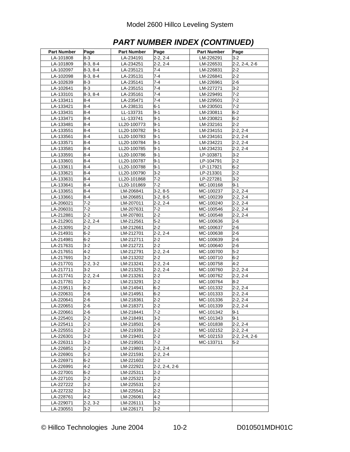### Model 2600 Hillco Leveling System

| <b>PART NUMBER INDEX (CONTINUED)</b> |  |
|--------------------------------------|--|
|--------------------------------------|--|

| <b>Part Number</b> | Page       | <b>Part Number</b> | Page          | <b>Part Number</b> | Page                |
|--------------------|------------|--------------------|---------------|--------------------|---------------------|
| LA-101808          | 8-3        | LA-234191          | 2-2, 2-4      | LM-226291          | 3-2                 |
| LA-101809          | $8-3, 8-4$ | LA-234251          | $2-2, 2-4$    | LM-226531          | $2 - 2.2 - 4.2 - 6$ |
| LA-102097          | 8-3, 8-4   | LA-235121          | 7-4           | LM-226831          | 2-2                 |
| LA-102098          | 8-3, 8-4   | LA-235131          | 7-4           | LM-226841          | 2-2                 |
| LA-102639          | 8-3        | LA-235141          | $7 - 4$       | LM-226961          | $2 - 6$             |
| LA-102641          | $8 - 3$    | LA-235151          | $7 - 4$       | LM-227271          | $3-2$               |
| LA-133101          | $8-3, 8-4$ | LA-235161          | 7-4           | LM-229491          | 7-2                 |
| LA-133411          | 8-4        | LA-235471          | 7-4           | LM-229501          | 7-2                 |
| LA-133421          | 8-4        | LA-238131          | 6-1           | LM-230501          | 7-2                 |
| LA-133431          | $8-4$      | LL-133731          | $9 - 1$       | LM-230811          | $6 - 2$             |
| LA-133471          | 8-4        | LL-133741          | $9 - 1$       | LM-230821          | $6-2$               |
| LA-133481          | 8-4        | LL20-100773        | 9-1           | LM-232161          | 2-2                 |
| LA-133551          | 8-4        | LL20-100782        | 9-1           | LM-234151          | $2 - 2.2 - 4$       |
| LA-133561          | 8-4        | LL20-100783        | $9 - 1$       | LM-234161          | $2-2, 2-4$          |
| LA-133571          | 8-4        | LL20-100784        | 9-1           | LM-234221          | 2-2, 2-4            |
| LA-133581          | $8-4$      | LL20-100785        | 9-1           | LM-234231          | 2-2, 2-4            |
| LA-133591          | 8-4        | LL20-100786        | 9-1           | LP-103871          | 3-2                 |
| LA-133601          | $8-4$      | LL20-100787        | $9 - 1$       | LP-104791          | 2-2                 |
| LA-133611          | $8 - 4$    | LL20-100788        | $9 - 1$       | LP-117921          | $6-2$               |
| LA-133621          | 8-4        | LL20-100790        | $3-2$         | LP-213301          | $2 - 2$             |
| LA-133631          | 8-4        | LL20-101868        | 7-2           | LP-227281          | 3-2                 |
| LA-133641          | 8-4        | LL20-101869        | 7-2           | MC-100168          | 9-1                 |
| LA-133651          | 8-4        | LM-206841          | $3-2, 8-5$    | MC-100237          | $2-2, 2-4$          |
| LA-133661          | 8-4        | LM-206851          | $3-2, 8-5$    | MC-100239          | 2-2, 2-4            |
| LA-206021          | 7-2        | LM-207011          | $2-2, 2-4$    | MC-100240          | 2-2, 2-4            |
| LA-206031          | $7-2$      | LM-207631          | 7-2           | MC-100546          | $2-2, 2-4$          |
| LA-212881          | $2 - 2$    | LM-207801          | $2 - 2$       | MC-100548          | $2-2, 2-4$          |
| LA-212901          | $2-2, 2-4$ | LM-212561          | $5-2$         | MC-100636          | $2 - 6$             |
| LA-213091          | 2-2        | LM-212661          | 2-2           | MC-100637          | 2-6                 |
| LA-214931          | 6-2        | LM-212701          | $2-2, 2-4$    | MC-100638          | 2-6                 |
| LA-214981          | $6-2$      | LM-212711          | $2 - 2$       | MC-100639          | $2-6$               |
| LA-217631          | $3-2$      | LM-212721          | $2 - 2$       | MC-100640          | $2 - 6$             |
| LA-217651          | 4-2        | LM-212791          | 2-2, 2-4      | MC-100700          | $5-2$               |
| LA-217691          | 3-2        | LM-213202          | 2-2           | MC-100710          | 6-2                 |
| LA-217701          | $2-2, 3-2$ | LM-213241          | 2-2, 2-4      | MC-100758          | $4 - 2$             |
| LA-217711          | $3-2$      | LM-213251          | 2-2, 2-4      | MC-100760          | $2-2, 2-4$          |
| LA-217741          | 2-2, 2-4   | LM-213261          | $2 - 2$       | MC-100762          | 2-2, 2-4            |
| LA-217781          | 2-2        | LM-213291          | 2-2           | MC-100764          | 8-2                 |
| LA-219511          | 6-2        | LM-214941          | $6-2$         | MC-101332          | $2-2, 2-4$          |
| LA-220631          | $2-6$      | LM-214951          | $6-2$         | MC-101333          | 2-2, 2-4            |
| LA-220641          | $2 - 6$    | LM-218361          | $2 - 2$       | MC-101336          | $2-2, 2-4$          |
| LA-220651          | 2-6        | LM-218371          | 2-2           | MC-101339          | 2-2, 2-4            |
| LA-220661          | 2-6        | LM-218441          | 7-2           | MC-101342          | 9-1                 |
| LA-225401          | 2-2        | LM-218491          | 3-2           | MC-101343          | 9-1                 |
| LA-225411          | 2-2        | LM-218501          | $2 - 6$       | MC-101838          | $2 - 2.2 - 4$       |
| LA-225551          | 2-2        | LM-219391          | 2-2           | MC-102152          | 2-2, 2-4            |
| LA-226301          | 3-2        | LM-219401          | 2-2           | MC-102153          | 2-2, 2-4, 2-6       |
| LA-226311          | 3-2        | LM-219501          | $7 - 2$       | MC-133711          | 5-2                 |
| LA-226851          | $2 - 2$    | LM-219801          | $2 - 2.2 - 4$ |                    |                     |
| LA-226901          | 5-2        | LM-221591          | $2-2, 2-4$    |                    |                     |
| LA-226971          | 6-2        | LM-221602          | 2-2           |                    |                     |
| LA-226991          | $4-2$      | LM-222921          | 2-2, 2-4, 2-6 |                    |                     |
| LA-227001          | 6-2        | LM-225311          | 2-2           |                    |                     |
| LA-227101          | 2-2        | LM-225321          | 2-2           |                    |                     |
| LA-227222          | 3-2        | LM-225531          | 2-2           |                    |                     |
| LA-227232          | 3-2        | LM-225541          | 2-2           |                    |                     |
| LA-228761          | 4-2        | LM-226061          | $4 - 2$       |                    |                     |
| LA-229071          | 2-2, 3-2   | LM-226111          | 3-2           |                    |                     |
| LA-230551          | $3-2$      | LM-226171          | $3-2$         |                    |                     |